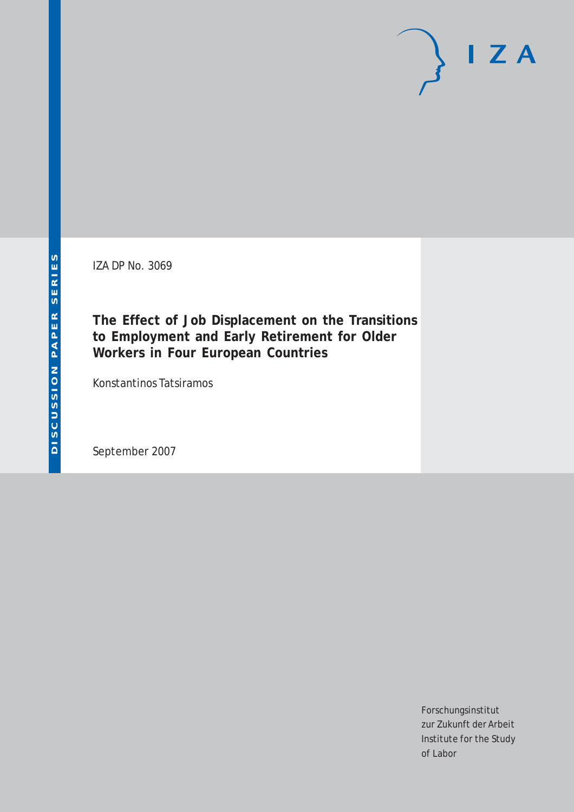IZA DP No. 3069

**The Effect of Job Displacement on the Transitions to Employment and Early Retirement for Older Workers in Four European Countries**

Konstantinos Tatsiramos

September 2007

Forschungsinstitut zur Zukunft der Arbeit Institute for the Study of Labor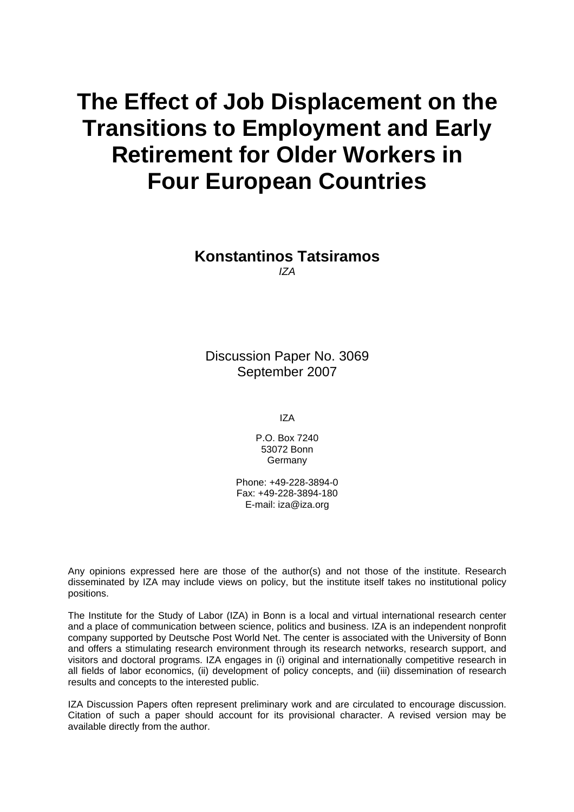# **The Effect of Job Displacement on the Transitions to Employment and Early Retirement for Older Workers in Four European Countries**

# **Konstantinos Tatsiramos**  *IZA*

Discussion Paper No. 3069 September 2007

IZA

P.O. Box 7240 53072 Bonn **Germany** 

Phone: +49-228-3894-0 Fax: +49-228-3894-180 E-mail: [iza@iza.org](mailto:iza@iza.org)

Any opinions expressed here are those of the author(s) and not those of the institute. Research disseminated by IZA may include views on policy, but the institute itself takes no institutional policy positions.

The Institute for the Study of Labor (IZA) in Bonn is a local and virtual international research center and a place of communication between science, politics and business. IZA is an independent nonprofit company supported by Deutsche Post World Net. The center is associated with the University of Bonn and offers a stimulating research environment through its research networks, research support, and visitors and doctoral programs. IZA engages in (i) original and internationally competitive research in all fields of labor economics, (ii) development of policy concepts, and (iii) dissemination of research results and concepts to the interested public.

IZA Discussion Papers often represent preliminary work and are circulated to encourage discussion. Citation of such a paper should account for its provisional character. A revised version may be available directly from the author.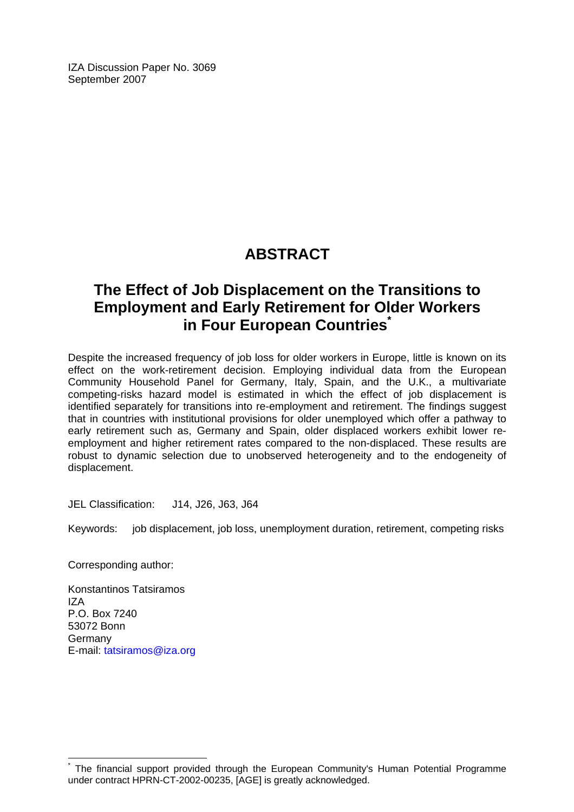IZA Discussion Paper No. 3069 September 2007

# **ABSTRACT**

# **The Effect of Job Displacement on the Transitions to Employment and Early Retirement for Older Workers in Four European Countries**

Despite the increased frequency of job loss for older workers in Europe, little is known on its effect on the work-retirement decision. Employing individual data from the European Community Household Panel for Germany, Italy, Spain, and the U.K., a multivariate competing-risks hazard model is estimated in which the effect of job displacement is identified separately for transitions into re-employment and retirement. The findings suggest that in countries with institutional provisions for older unemployed which offer a pathway to early retirement such as, Germany and Spain, older displaced workers exhibit lower reemployment and higher retirement rates compared to the non-displaced. These results are robust to dynamic selection due to unobserved heterogeneity and to the endogeneity of displacement.

JEL Classification: J14, J26, J63, J64

Keywords: job displacement, job loss, unemployment duration, retirement, competing risks

Corresponding author:

Konstantinos Tatsiramos  $IZA$ P.O. Box 7240 53072 Bonn Germany E-mail: [tatsiramos@iza.org](mailto:tatsiramos@iza.org)

<span id="page-2-0"></span><sup>\*</sup> The financial support provided through the European Community's Human Potential Programme under contract HPRN-CT-2002-00235, [AGE] is greatly acknowledged.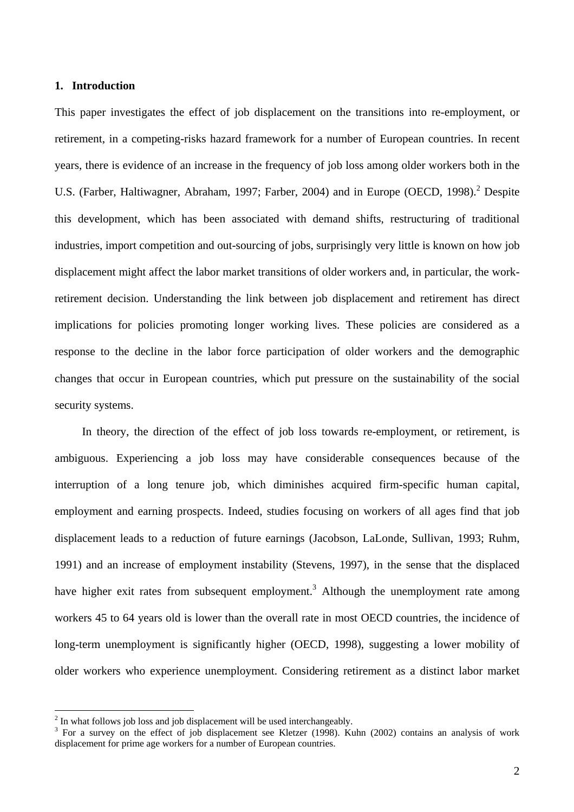#### **1. Introduction**

This paper investigates the effect of job displacement on the transitions into re-employment, or retirement, in a competing-risks hazard framework for a number of European countries. In recent years, there is evidence of an increase in the frequency of job loss among older workers both in the U.S. (Farber, Haltiwagner, Abraham, 1997; Farber, [2](#page-3-0)004) and in Europe (OECD, 1998).<sup>2</sup> Despite this development, which has been associated with demand shifts, restructuring of traditional industries, import competition and out-sourcing of jobs, surprisingly very little is known on how job displacement might affect the labor market transitions of older workers and, in particular, the workretirement decision. Understanding the link between job displacement and retirement has direct implications for policies promoting longer working lives. These policies are considered as a response to the decline in the labor force participation of older workers and the demographic changes that occur in European countries, which put pressure on the sustainability of the social security systems.

In theory, the direction of the effect of job loss towards re-employment, or retirement, is ambiguous. Experiencing a job loss may have considerable consequences because of the interruption of a long tenure job, which diminishes acquired firm-specific human capital, employment and earning prospects. Indeed, studies focusing on workers of all ages find that job displacement leads to a reduction of future earnings (Jacobson, LaLonde, Sullivan, 1993; Ruhm, 1991) and an increase of employment instability (Stevens, 1997), in the sense that the displaced have higher exit rates from subsequent employment.<sup>3</sup> Although the unemployment rate among workers 45 to 64 years old is lower than the overall rate in most OECD countries, the incidence of long-term unemployment is significantly higher (OECD, 1998), suggesting a lower mobility of older workers who experience unemployment. Considering retirement as a distinct labor market

<span id="page-3-0"></span><sup>&</sup>lt;sup>2</sup> In what follows job loss and job displacement will be used interchangeably.<br><sup>3</sup> For a survey on the effect of job displacement see Klatzer (1008). Ky

<span id="page-3-1"></span><sup>&</sup>lt;sup>3</sup> For a survey on the effect of job displacement see Kletzer (1998). Kuhn (2002) contains an analysis of work displacement for prime age workers for a number of European countries.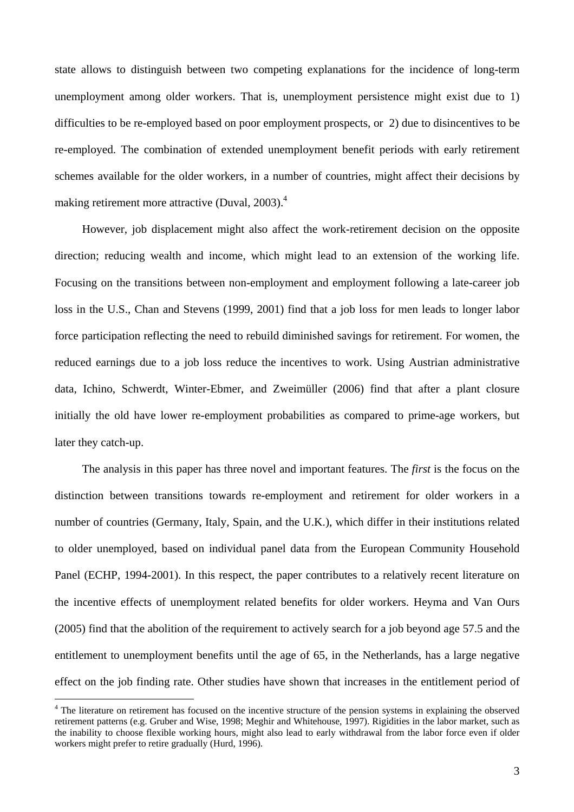state allows to distinguish between two competing explanations for the incidence of long-term unemployment among older workers. That is, unemployment persistence might exist due to 1) difficulties to be re-employed based on poor employment prospects, or 2) due to disincentives to be re-employed. The combination of extended unemployment benefit periods with early retirement schemes available for the older workers, in a number of countries, might affect their decisions by making retirement more attractive (Duval, 2003).<sup>[4](#page-4-0)</sup>

However, job displacement might also affect the work-retirement decision on the opposite direction; reducing wealth and income, which might lead to an extension of the working life. Focusing on the transitions between non-employment and employment following a late-career job loss in the U.S., Chan and Stevens (1999, 2001) find that a job loss for men leads to longer labor force participation reflecting the need to rebuild diminished savings for retirement. For women, the reduced earnings due to a job loss reduce the incentives to work. Using Austrian administrative data, Ichino, Schwerdt, Winter-Ebmer, and Zweimüller (2006) find that after a plant closure initially the old have lower re-employment probabilities as compared to prime-age workers, but later they catch-up.

The analysis in this paper has three novel and important features. The *first* is the focus on the distinction between transitions towards re-employment and retirement for older workers in a number of countries (Germany, Italy, Spain, and the U.K.), which differ in their institutions related to older unemployed, based on individual panel data from the European Community Household Panel (ECHP, 1994-2001). In this respect, the paper contributes to a relatively recent literature on the incentive effects of unemployment related benefits for older workers. Heyma and Van Ours (2005) find that the abolition of the requirement to actively search for a job beyond age 57.5 and the entitlement to unemployment benefits until the age of 65, in the Netherlands, has a large negative effect on the job finding rate. Other studies have shown that increases in the entitlement period of

<span id="page-4-0"></span><sup>&</sup>lt;sup>4</sup> The literature on retirement has focused on the incentive structure of the pension systems in explaining the observed retirement patterns (e.g. Gruber and Wise, 1998; Meghir and Whitehouse, 1997). Rigidities in the labor market, such as the inability to choose flexible working hours, might also lead to early withdrawal from the labor force even if older workers might prefer to retire gradually (Hurd, 1996).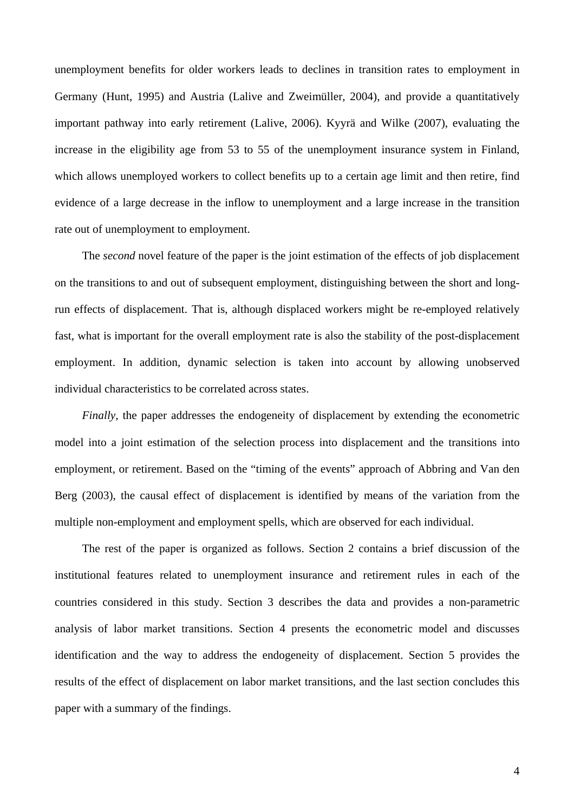unemployment benefits for older workers leads to declines in transition rates to employment in Germany (Hunt, 1995) and Austria (Lalive and Zweimüller, 2004), and provide a quantitatively important pathway into early retirement (Lalive, 2006). Kyyrä and Wilke (2007), evaluating the increase in the eligibility age from 53 to 55 of the unemployment insurance system in Finland, which allows unemployed workers to collect benefits up to a certain age limit and then retire, find evidence of a large decrease in the inflow to unemployment and a large increase in the transition rate out of unemployment to employment.

The *second* novel feature of the paper is the joint estimation of the effects of job displacement on the transitions to and out of subsequent employment, distinguishing between the short and longrun effects of displacement. That is, although displaced workers might be re-employed relatively fast, what is important for the overall employment rate is also the stability of the post-displacement employment. In addition, dynamic selection is taken into account by allowing unobserved individual characteristics to be correlated across states.

*Finally*, the paper addresses the endogeneity of displacement by extending the econometric model into a joint estimation of the selection process into displacement and the transitions into employment, or retirement. Based on the "timing of the events" approach of Abbring and Van den Berg (2003), the causal effect of displacement is identified by means of the variation from the multiple non-employment and employment spells, which are observed for each individual.

The rest of the paper is organized as follows. Section 2 contains a brief discussion of the institutional features related to unemployment insurance and retirement rules in each of the countries considered in this study. Section 3 describes the data and provides a non-parametric analysis of labor market transitions. Section 4 presents the econometric model and discusses identification and the way to address the endogeneity of displacement. Section 5 provides the results of the effect of displacement on labor market transitions, and the last section concludes this paper with a summary of the findings.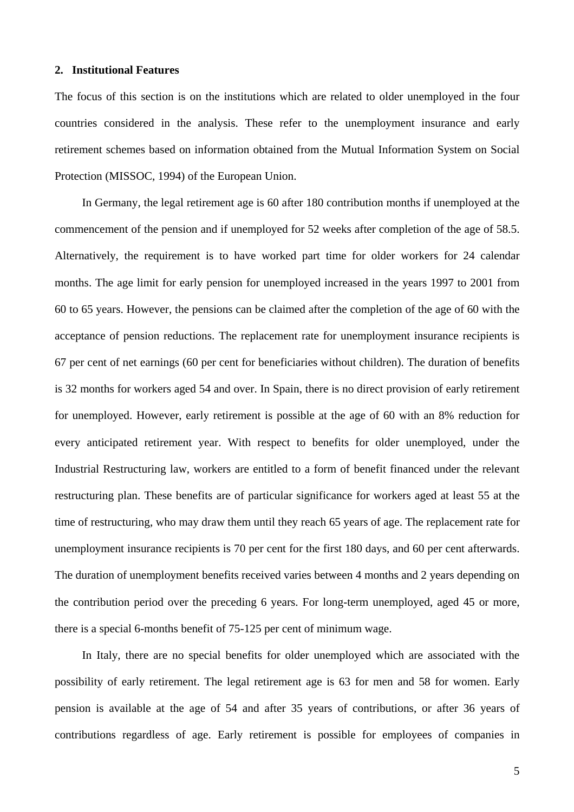# **2. Institutional Features**

The focus of this section is on the institutions which are related to older unemployed in the four countries considered in the analysis. These refer to the unemployment insurance and early retirement schemes based on information obtained from the Mutual Information System on Social Protection (MISSOC, 1994) of the European Union.

In Germany, the legal retirement age is 60 after 180 contribution months if unemployed at the commencement of the pension and if unemployed for 52 weeks after completion of the age of 58.5. Alternatively, the requirement is to have worked part time for older workers for 24 calendar months. The age limit for early pension for unemployed increased in the years 1997 to 2001 from 60 to 65 years. However, the pensions can be claimed after the completion of the age of 60 with the acceptance of pension reductions. The replacement rate for unemployment insurance recipients is 67 per cent of net earnings (60 per cent for beneficiaries without children). The duration of benefits is 32 months for workers aged 54 and over. In Spain, there is no direct provision of early retirement for unemployed. However, early retirement is possible at the age of 60 with an 8% reduction for every anticipated retirement year. With respect to benefits for older unemployed, under the Industrial Restructuring law, workers are entitled to a form of benefit financed under the relevant restructuring plan. These benefits are of particular significance for workers aged at least 55 at the time of restructuring, who may draw them until they reach 65 years of age. The replacement rate for unemployment insurance recipients is 70 per cent for the first 180 days, and 60 per cent afterwards. The duration of unemployment benefits received varies between 4 months and 2 years depending on the contribution period over the preceding 6 years. For long-term unemployed, aged 45 or more, there is a special 6-months benefit of 75-125 per cent of minimum wage.

In Italy, there are no special benefits for older unemployed which are associated with the possibility of early retirement. The legal retirement age is 63 for men and 58 for women. Early pension is available at the age of 54 and after 35 years of contributions, or after 36 years of contributions regardless of age. Early retirement is possible for employees of companies in

5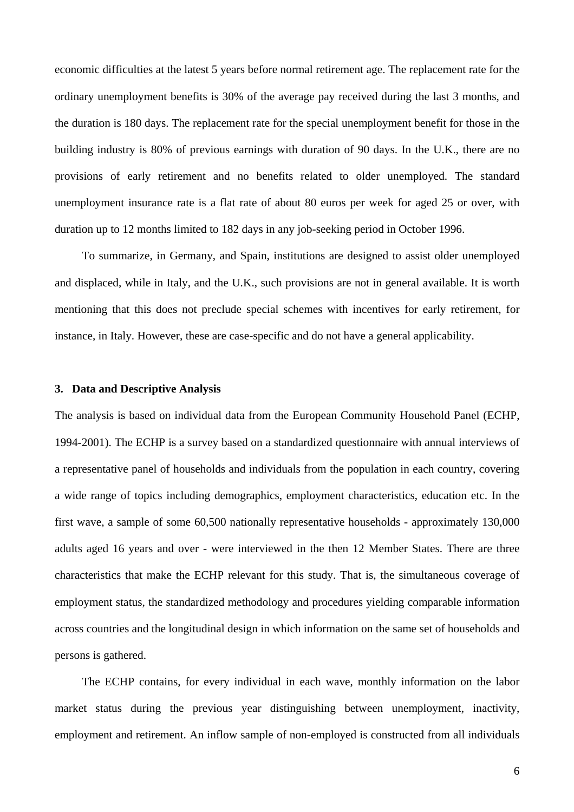economic difficulties at the latest 5 years before normal retirement age. The replacement rate for the ordinary unemployment benefits is 30% of the average pay received during the last 3 months, and the duration is 180 days. The replacement rate for the special unemployment benefit for those in the building industry is 80% of previous earnings with duration of 90 days. In the U.K., there are no provisions of early retirement and no benefits related to older unemployed. The standard unemployment insurance rate is a flat rate of about 80 euros per week for aged 25 or over, with duration up to 12 months limited to 182 days in any job-seeking period in October 1996.

To summarize, in Germany, and Spain, institutions are designed to assist older unemployed and displaced, while in Italy, and the U.K., such provisions are not in general available. It is worth mentioning that this does not preclude special schemes with incentives for early retirement, for instance, in Italy. However, these are case-specific and do not have a general applicability.

#### **3. Data and Descriptive Analysis**

The analysis is based on individual data from the European Community Household Panel (ECHP, 1994-2001). The ECHP is a survey based on a standardized questionnaire with annual interviews of a representative panel of households and individuals from the population in each country, covering a wide range of topics including demographics, employment characteristics, education etc. In the first wave, a sample of some 60,500 nationally representative households - approximately 130,000 adults aged 16 years and over - were interviewed in the then 12 Member States. There are three characteristics that make the ECHP relevant for this study. That is, the simultaneous coverage of employment status, the standardized methodology and procedures yielding comparable information across countries and the longitudinal design in which information on the same set of households and persons is gathered.

The ECHP contains, for every individual in each wave, monthly information on the labor market status during the previous year distinguishing between unemployment, inactivity, employment and retirement. An inflow sample of non-employed is constructed from all individuals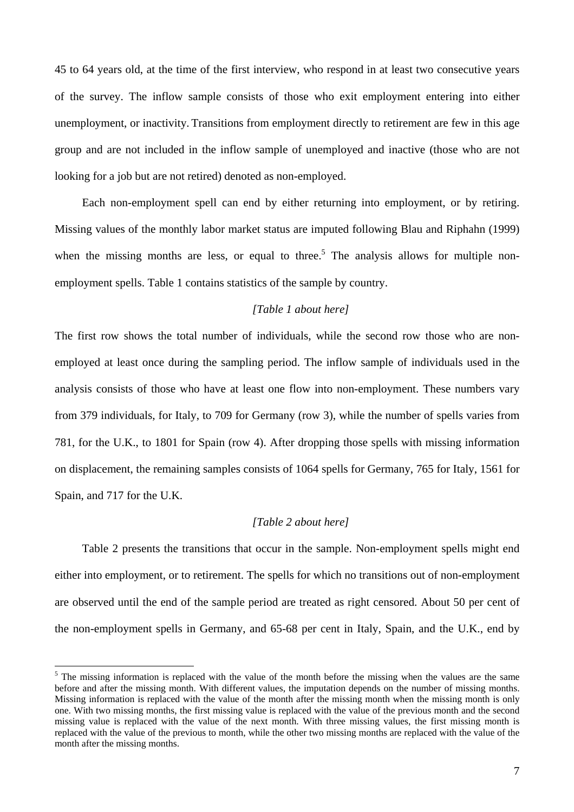45 to 64 years old, at the time of the first interview, who respond in at least two consecutive years of the survey. The inflow sample consists of those who exit employment entering into either unemployment, or inactivity. Transitions from employment directly to retirement are few in this age group and are not included in the inflow sample of unemployed and inactive (those who are not looking for a job but are not retired) denoted as non-employed.

Each non-employment spell can end by either returning into employment, or by retiring. Missing values of the monthly labor market status are imputed following Blau and Riphahn (1999) when the missing months are less, or equal to three.<sup>[5](#page-8-0)</sup> The analysis allows for multiple nonemployment spells. Table 1 contains statistics of the sample by country.

# *[Table 1 about here]*

The first row shows the total number of individuals, while the second row those who are nonemployed at least once during the sampling period. The inflow sample of individuals used in the analysis consists of those who have at least one flow into non-employment. These numbers vary from 379 individuals, for Italy, to 709 for Germany (row 3), while the number of spells varies from 781, for the U.K., to 1801 for Spain (row 4). After dropping those spells with missing information on displacement, the remaining samples consists of 1064 spells for Germany, 765 for Italy, 1561 for Spain, and 717 for the U.K.

#### *[Table 2 about here]*

Table 2 presents the transitions that occur in the sample. Non-employment spells might end either into employment, or to retirement. The spells for which no transitions out of non-employment are observed until the end of the sample period are treated as right censored. About 50 per cent of the non-employment spells in Germany, and 65-68 per cent in Italy, Spain, and the U.K., end by

<span id="page-8-0"></span> $<sup>5</sup>$  The missing information is replaced with the value of the month before the missing when the values are the same</sup> before and after the missing month. With different values, the imputation depends on the number of missing months. Missing information is replaced with the value of the month after the missing month when the missing month is only one. With two missing months, the first missing value is replaced with the value of the previous month and the second missing value is replaced with the value of the next month. With three missing values, the first missing month is replaced with the value of the previous to month, while the other two missing months are replaced with the value of the month after the missing months.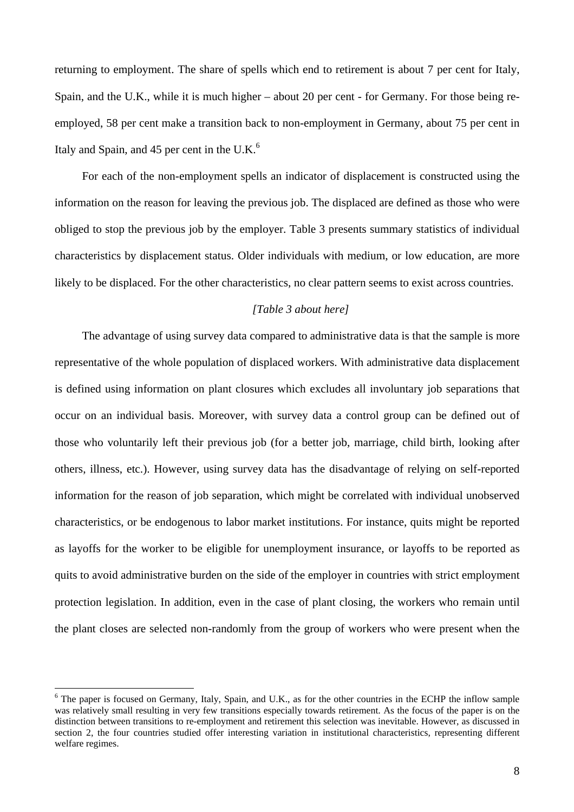returning to employment. The share of spells which end to retirement is about 7 per cent for Italy, Spain, and the U.K., while it is much higher – about 20 per cent - for Germany. For those being reemployed, 58 per cent make a transition back to non-employment in Germany, about 75 per cent in Italy and Spain, and 45 per cent in the U.K. $<sup>6</sup>$ </sup>

For each of the non-employment spells an indicator of displacement is constructed using the information on the reason for leaving the previous job. The displaced are defined as those who were obliged to stop the previous job by the employer. Table 3 presents summary statistics of individual characteristics by displacement status. Older individuals with medium, or low education, are more likely to be displaced. For the other characteristics, no clear pattern seems to exist across countries.

# *[Table 3 about here]*

The advantage of using survey data compared to administrative data is that the sample is more representative of the whole population of displaced workers. With administrative data displacement is defined using information on plant closures which excludes all involuntary job separations that occur on an individual basis. Moreover, with survey data a control group can be defined out of those who voluntarily left their previous job (for a better job, marriage, child birth, looking after others, illness, etc.). However, using survey data has the disadvantage of relying on self-reported information for the reason of job separation, which might be correlated with individual unobserved characteristics, or be endogenous to labor market institutions. For instance, quits might be reported as layoffs for the worker to be eligible for unemployment insurance, or layoffs to be reported as quits to avoid administrative burden on the side of the employer in countries with strict employment protection legislation. In addition, even in the case of plant closing, the workers who remain until the plant closes are selected non-randomly from the group of workers who were present when the

<span id="page-9-0"></span><sup>&</sup>lt;sup>6</sup> The paper is focused on Germany, Italy, Spain, and U.K., as for the other countries in the ECHP the inflow sample was relatively small resulting in very few transitions especially towards retirement. As the focus of the paper is on the distinction between transitions to re-employment and retirement this selection was inevitable. However, as discussed in section 2, the four countries studied offer interesting variation in institutional characteristics, representing different welfare regimes.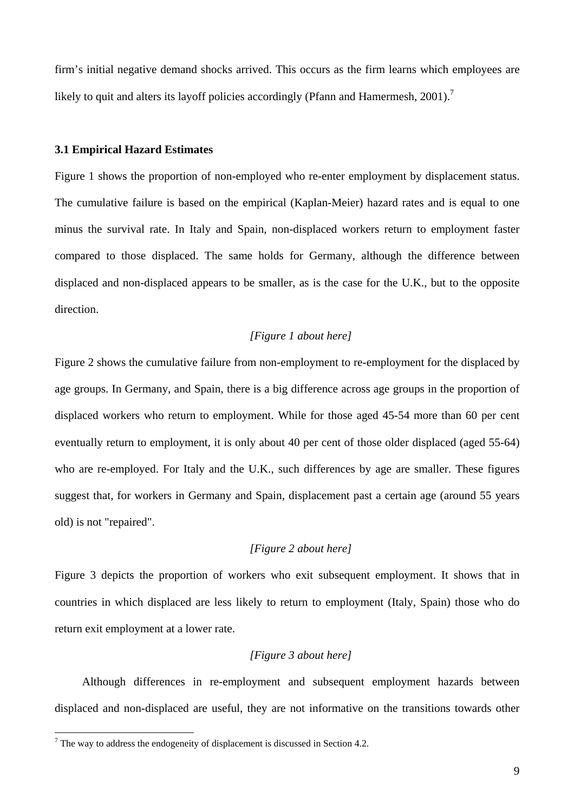firm's initial negative demand shocks arrived. This occurs as the firm learns which employees are likely to quit and alters its layoff policies accordingly (Pfann and Hamermesh, 2001).<sup>[7](#page-10-0)</sup>

#### **3.1 Empirical Hazard Estimates**

Figure 1 shows the proportion of non-employed who re-enter employment by displacement status. The cumulative failure is based on the empirical (Kaplan-Meier) hazard rates and is equal to one minus the survival rate. In Italy and Spain, non-displaced workers return to employment faster compared to those displaced. The same holds for Germany, although the difference between displaced and non-displaced appears to be smaller, as is the case for the U.K., but to the opposite direction.

# *[Figure 1 about here]*

Figure 2 shows the cumulative failure from non-employment to re-employment for the displaced by age groups. In Germany, and Spain, there is a big difference across age groups in the proportion of displaced workers who return to employment. While for those aged 45-54 more than 60 per cent eventually return to employment, it is only about 40 per cent of those older displaced (aged 55-64) who are re-employed. For Italy and the U.K., such differences by age are smaller. These figures suggest that, for workers in Germany and Spain, displacement past a certain age (around 55 years old) is not "repaired".

# *[Figure 2 about here]*

Figure 3 depicts the proportion of workers who exit subsequent employment. It shows that in countries in which displaced are less likely to return to employment (Italy, Spain) those who do return exit employment at a lower rate.

#### *[Figure 3 about here]*

Although differences in re-employment and subsequent employment hazards between displaced and non-displaced are useful, they are not informative on the transitions towards other

<span id="page-10-0"></span><sup>&</sup>lt;sup>7</sup> The way to address the endogeneity of displacement is discussed in Section 4.2.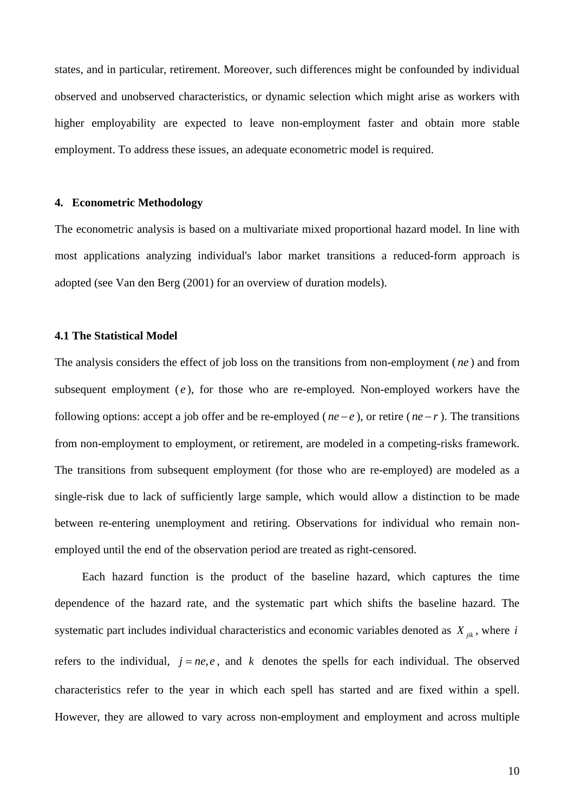states, and in particular, retirement. Moreover, such differences might be confounded by individual observed and unobserved characteristics, or dynamic selection which might arise as workers with higher employability are expected to leave non-employment faster and obtain more stable employment. To address these issues, an adequate econometric model is required.

#### **4. Econometric Methodology**

The econometric analysis is based on a multivariate mixed proportional hazard model. In line with most applications analyzing individual's labor market transitions a reduced-form approach is adopted (see Van den Berg (2001) for an overview of duration models).

#### **4.1 The Statistical Model**

The analysis considers the effect of job loss on the transitions from non-employment (*ne*) and from subsequent employment  $(e)$ , for those who are re-employed. Non-employed workers have the following options: accept a job offer and be re-employed ( $ne - e$ ), or retire ( $ne - r$ ). The transitions from non-employment to employment, or retirement, are modeled in a competing-risks framework. The transitions from subsequent employment (for those who are re-employed) are modeled as a single-risk due to lack of sufficiently large sample, which would allow a distinction to be made between re-entering unemployment and retiring. Observations for individual who remain nonemployed until the end of the observation period are treated as right-censored.

Each hazard function is the product of the baseline hazard, which captures the time dependence of the hazard rate, and the systematic part which shifts the baseline hazard. The systematic part includes individual characteristics and economic variables denoted as  $X_{ijk}$ , where *i* refers to the individual,  $j = ne, e$ , and k denotes the spells for each individual. The observed characteristics refer to the year in which each spell has started and are fixed within a spell. However, they are allowed to vary across non-employment and employment and across multiple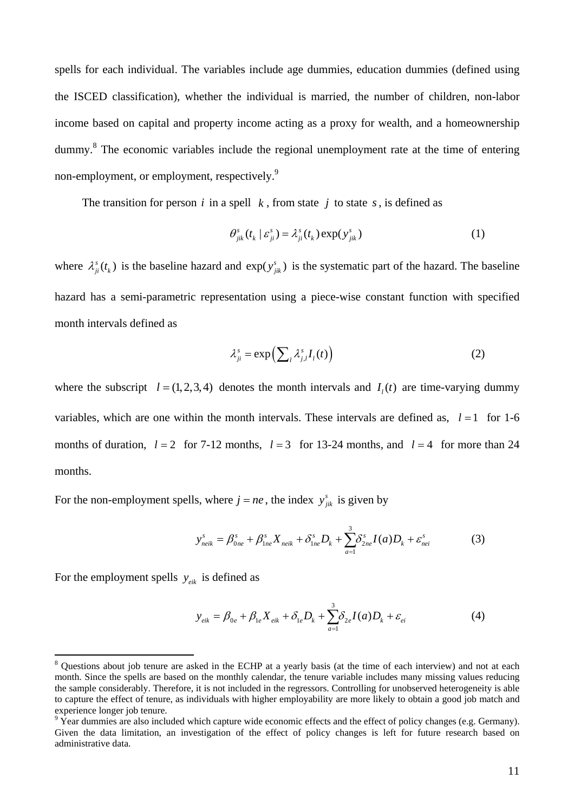spells for each individual. The variables include age dummies, education dummies (defined using the ISCED classification), whether the individual is married, the number of children, non-labor income based on capital and property income acting as a proxy for wealth, and a homeownership dummy.<sup>[8](#page-12-0)</sup> The economic variables include the regional unemployment rate at the time of entering non-employment, or employment, respectively.<sup>[9](#page-12-1)</sup>

The transition for person  $i$  in a spell  $k$ , from state  $j$  to state  $s$ , is defined as

$$
\theta_{jik}^s(t_k \mid \varepsilon_{ji}^s) = \lambda_{ji}^s(t_k) \exp(y_{jik}^s)
$$
 (1)

where  $\lambda_{ji}^{s}(t_k)$  is the baseline hazard and  $\exp(y_{jik}^{s})$  is the systematic part of the hazard. The baseline hazard has a semi-parametric representation using a piece-wise constant function with specified month intervals defined as

$$
\lambda_{ji}^s = \exp\left(\sum_{l} \lambda_{j,l}^s I_l(t)\right) \tag{2}
$$

where the subscript  $l = (1, 2, 3, 4)$  denotes the month intervals and  $I_i(t)$  are time-varying dummy variables, which are one within the month intervals. These intervals are defined as,  $l = 1$  for 1-6 months of duration,  $l = 2$  for 7-12 months,  $l = 3$  for 13-24 months, and  $l = 4$  for more than 24 months.

For the non-employment spells, where  $j = ne$ , the index  $y_{ijk}^s$  is given by

$$
y_{neik}^s = \beta_{0ne}^s + \beta_{1ne}^s X_{neik} + \delta_{1ne}^s D_k + \sum_{a=1}^3 \delta_{2ne}^s I(a) D_k + \varepsilon_{nei}^s
$$
 (3)

For the employment spells  $y_{eik}$  is defined as

$$
y_{eik} = \beta_{0e} + \beta_{1e} X_{eik} + \delta_{1e} D_k + \sum_{a=1}^{3} \delta_{2e} I(a) D_k + \varepsilon_{ei}
$$
 (4)

<span id="page-12-0"></span><sup>&</sup>lt;sup>8</sup> Questions about job tenure are asked in the ECHP at a yearly basis (at the time of each interview) and not at each month. Since the spells are based on the monthly calendar, the tenure variable includes many missing values reducing the sample considerably. Therefore, it is not included in the regressors. Controlling for unobserved heterogeneity is able to capture the effect of tenure, as individuals with higher employability are more likely to obtain a good job match and experience longer job tenure.

<span id="page-12-1"></span><sup>&</sup>lt;sup>9</sup> Year dummies are also included which capture wide economic effects and the effect of policy changes (e.g. Germany). Given the data limitation, an investigation of the effect of policy changes is left for future research based on administrative data.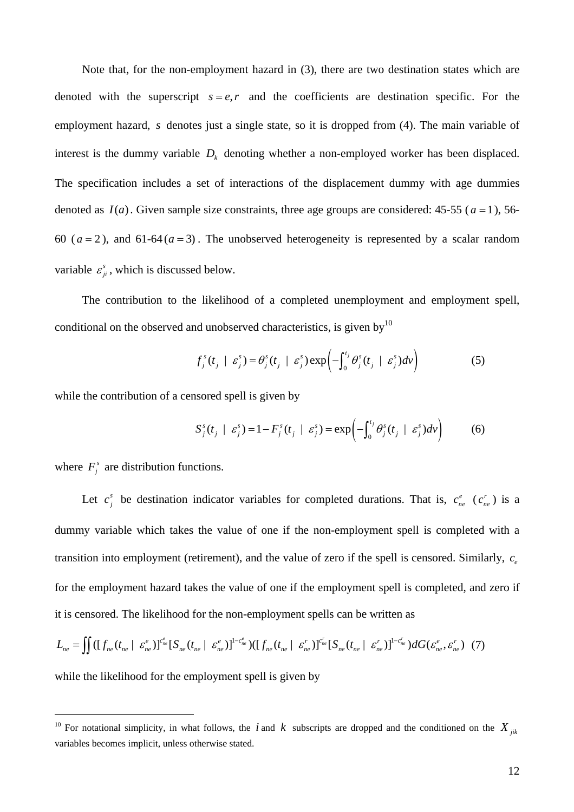Note that, for the non-employment hazard in (3), there are two destination states which are denoted with the superscript  $s = e, r$  and the coefficients are destination specific. For the employment hazard, s denotes just a single state, so it is dropped from (4). The main variable of interest is the dummy variable  $D_k$  denoting whether a non-employed worker has been displaced. The specification includes a set of interactions of the displacement dummy with age dummies denoted as  $I(a)$ . Given sample size constraints, three age groups are considered: 45-55 ( $a = 1$ ), 56-60 ( $a = 2$ ), and 61-64( $a = 3$ ). The unobserved heterogeneity is represented by a scalar random variable  $\varepsilon_{ji}^s$ , which is discussed below.

The contribution to the likelihood of a completed unemployment and employment spell, conditional on the observed and unobserved characteristics, is given by<sup>[10](#page-13-0)</sup>

$$
f_j^s(t_j \mid \varepsilon_j^s) = \theta_j^s(t_j \mid \varepsilon_j^s) \exp\left(-\int_0^{t_j} \theta_j^s(t_j \mid \varepsilon_j^s) dv\right)
$$
 (5)

while the contribution of a censored spell is given by

$$
S_j^s(t_j \mid \varepsilon_j^s) = 1 - F_j^s(t_j \mid \varepsilon_j^s) = \exp\left(-\int_0^{t_j} \theta_j^s(t_j \mid \varepsilon_j^s) dv\right) \tag{6}
$$

where  $F_i^s$  are distribution functions.

 $\overline{a}$ 

Let  $c_j^s$  be destination indicator variables for completed durations. That is,  $c_{ne}^e$  ( $c_{ne}^r$ ) is a dummy variable which takes the value of one if the non-employment spell is completed with a transition into employment (retirement), and the value of zero if the spell is censored. Similarly,  $c_e$ for the employment hazard takes the value of one if the employment spell is completed, and zero if it is censored. The likelihood for the non-employment spells can be written as

$$
L_{ne} = \iint \left( [f_{ne}(t_{ne} \mid \varepsilon_{ne}^{e})]^{c_{ne}^{e}} [S_{ne}(t_{ne} \mid \varepsilon_{ne}^{e})]^{1-c_{ne}^{e}} \right) \left( [f_{ne}(t_{ne} \mid \varepsilon_{ne}^{r})]^{c_{ne}^{e}} [S_{ne}(t_{ne} \mid \varepsilon_{ne}^{r})]^{1-c_{ne}^{e}} \right) dG(\varepsilon_{ne}^{e}, \varepsilon_{ne}^{r}) \tag{7}
$$

while the likelihood for the employment spell is given by

<span id="page-13-0"></span><sup>&</sup>lt;sup>10</sup> For notational simplicity, in what follows, the *i* and *k* subscripts are dropped and the conditioned on the  $X_{ijk}$ variables becomes implicit, unless otherwise stated.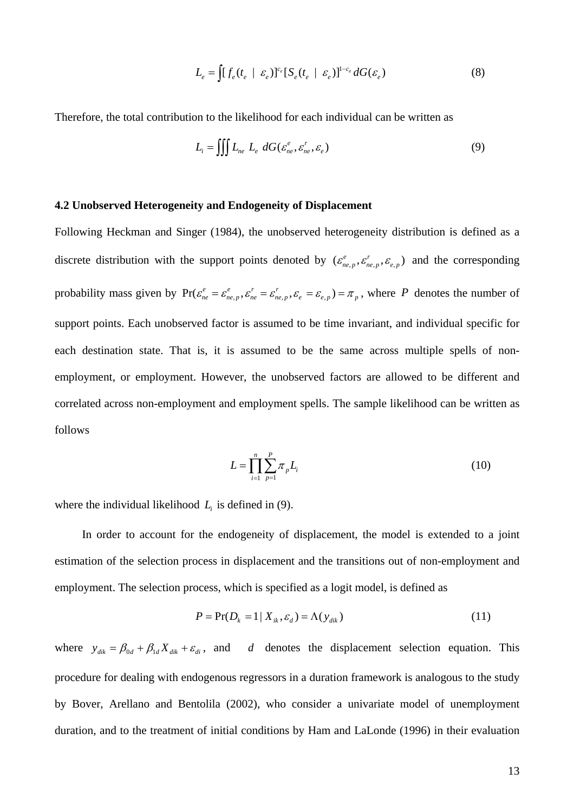$$
L_e = \int [f_e(t_e \mid \varepsilon_e)]^{c_e} [S_e(t_e \mid \varepsilon_e)]^{1-c_e} dG(\varepsilon_e)
$$
\n(8)

Therefore, the total contribution to the likelihood for each individual can be written as

$$
L_i = \iiint L_{ne} L_e \ dG(\varepsilon_{ne}^e, \varepsilon_{ne}^r, \varepsilon_e) \tag{9}
$$

#### **4.2 Unobserved Heterogeneity and Endogeneity of Displacement**

Following Heckman and Singer (1984), the unobserved heterogeneity distribution is defined as a discrete distribution with the support points denoted by  $(\varepsilon_{ne,p}^e, \varepsilon_{ne,p}^r, \varepsilon_{e,p}^e)$  and the corresponding probability mass given by  $Pr(\varepsilon_{ne}^e = \varepsilon_{ne,p}^e, \varepsilon_{ne}^r = \varepsilon_{ne,p}^r, \varepsilon_{ne}^e = \varepsilon_{e,p}) = \pi_p$ , where P denotes the number of support points. Each unobserved factor is assumed to be time invariant, and individual specific for each destination state. That is, it is assumed to be the same across multiple spells of nonemployment, or employment. However, the unobserved factors are allowed to be different and correlated across non-employment and employment spells. The sample likelihood can be written as follows

$$
L = \prod_{i=1}^{n} \sum_{p=1}^{P} \pi_{p} L_{i}
$$
 (10)

where the individual likelihood  $L<sub>i</sub>$  is defined in (9).

In order to account for the endogeneity of displacement, the model is extended to a joint estimation of the selection process in displacement and the transitions out of non-employment and employment. The selection process, which is specified as a logit model, is defined as

$$
P = \Pr(D_k = 1 \mid X_{ik}, \varepsilon_d) = \Lambda(y_{dik})
$$
\n(11)

where  $y_{\text{dik}} = \beta_{0d} + \beta_{1d} X_{\text{dik}} + \varepsilon_{di}$ , and denotes the displacement selection equation. This procedure for dealing with endogenous regressors in a duration framework is analogous to the study by Bover, Arellano and Bentolila (2002), who consider a univariate model of unemployment duration, and to the treatment of initial conditions by Ham and LaLonde (1996) in their evaluation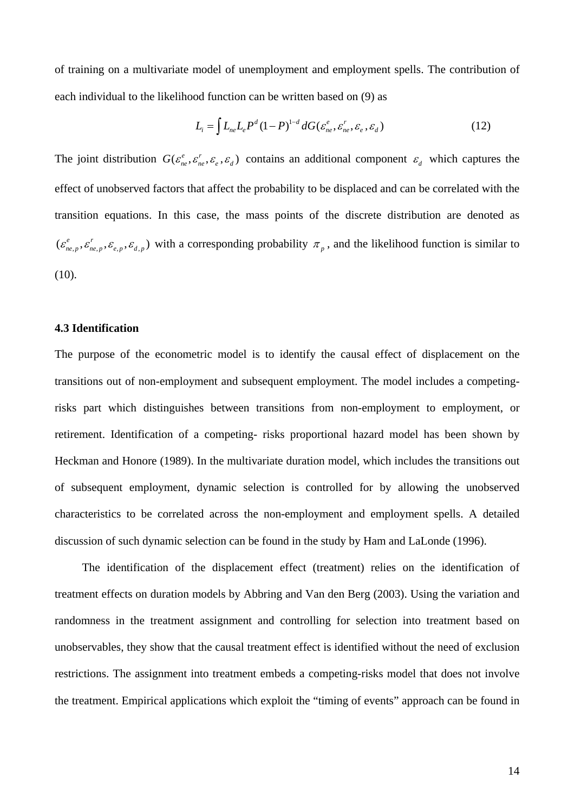of training on a multivariate model of unemployment and employment spells. The contribution of each individual to the likelihood function can be written based on (9) as

$$
L_i = \int L_{ne} L_e P^d (1 - P)^{1-d} dG(\varepsilon_{ne}^e, \varepsilon_{ne}^r, \varepsilon_e, \varepsilon_d)
$$
 (12)

The joint distribution  $G(\varepsilon_{ne}^e, \varepsilon_{ne}^r, \varepsilon_{e}, \varepsilon_{d})$  contains an additional component  $\varepsilon_{d}$  which captures the effect of unobserved factors that affect the probability to be displaced and can be correlated with the transition equations. In this case, the mass points of the discrete distribution are denoted as  $(\varepsilon_{ne,p}^e, \varepsilon_{ne,p}^r, \varepsilon_{e,p}, \varepsilon_{d,p})$  with a corresponding probability  $\pi_p$ , and the likelihood function is similar to (10).

#### **4.3 Identification**

The purpose of the econometric model is to identify the causal effect of displacement on the transitions out of non-employment and subsequent employment. The model includes a competingrisks part which distinguishes between transitions from non-employment to employment, or retirement. Identification of a competing- risks proportional hazard model has been shown by Heckman and Honore (1989). In the multivariate duration model, which includes the transitions out of subsequent employment, dynamic selection is controlled for by allowing the unobserved characteristics to be correlated across the non-employment and employment spells. A detailed discussion of such dynamic selection can be found in the study by Ham and LaLonde (1996).

The identification of the displacement effect (treatment) relies on the identification of treatment effects on duration models by Abbring and Van den Berg (2003). Using the variation and randomness in the treatment assignment and controlling for selection into treatment based on unobservables, they show that the causal treatment effect is identified without the need of exclusion restrictions. The assignment into treatment embeds a competing-risks model that does not involve the treatment. Empirical applications which exploit the "timing of events" approach can be found in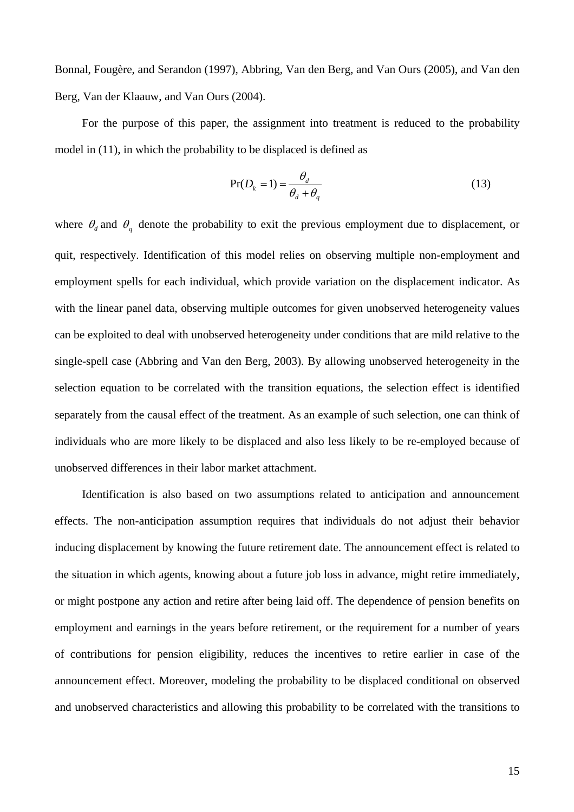Bonnal, Fougère, and Serandon (1997), Abbring, Van den Berg, and Van Ours (2005), and Van den Berg, Van der Klaauw, and Van Ours (2004).

For the purpose of this paper, the assignment into treatment is reduced to the probability model in (11), in which the probability to be displaced is defined as

$$
\Pr(D_k = 1) = \frac{\theta_d}{\theta_d + \theta_q} \tag{13}
$$

where  $\theta_d$  and  $\theta_q$  denote the probability to exit the previous employment due to displacement, or quit, respectively. Identification of this model relies on observing multiple non-employment and employment spells for each individual, which provide variation on the displacement indicator. As with the linear panel data, observing multiple outcomes for given unobserved heterogeneity values can be exploited to deal with unobserved heterogeneity under conditions that are mild relative to the single-spell case (Abbring and Van den Berg, 2003). By allowing unobserved heterogeneity in the selection equation to be correlated with the transition equations, the selection effect is identified separately from the causal effect of the treatment. As an example of such selection, one can think of individuals who are more likely to be displaced and also less likely to be re-employed because of unobserved differences in their labor market attachment.

Identification is also based on two assumptions related to anticipation and announcement effects. The non-anticipation assumption requires that individuals do not adjust their behavior inducing displacement by knowing the future retirement date. The announcement effect is related to the situation in which agents, knowing about a future job loss in advance, might retire immediately, or might postpone any action and retire after being laid off. The dependence of pension benefits on employment and earnings in the years before retirement, or the requirement for a number of years of contributions for pension eligibility, reduces the incentives to retire earlier in case of the announcement effect. Moreover, modeling the probability to be displaced conditional on observed and unobserved characteristics and allowing this probability to be correlated with the transitions to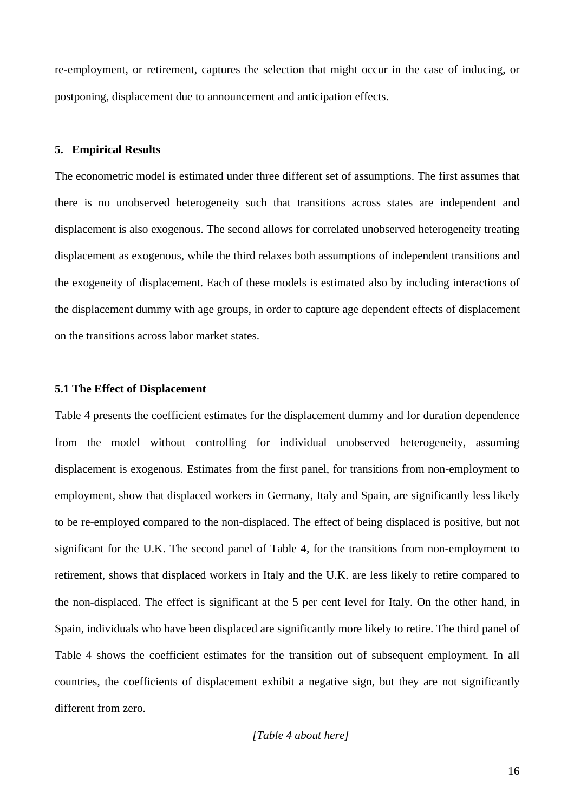re-employment, or retirement, captures the selection that might occur in the case of inducing, or postponing, displacement due to announcement and anticipation effects.

#### **5. Empirical Results**

The econometric model is estimated under three different set of assumptions. The first assumes that there is no unobserved heterogeneity such that transitions across states are independent and displacement is also exogenous. The second allows for correlated unobserved heterogeneity treating displacement as exogenous, while the third relaxes both assumptions of independent transitions and the exogeneity of displacement. Each of these models is estimated also by including interactions of the displacement dummy with age groups, in order to capture age dependent effects of displacement on the transitions across labor market states.

#### **5.1 The Effect of Displacement**

Table 4 presents the coefficient estimates for the displacement dummy and for duration dependence from the model without controlling for individual unobserved heterogeneity, assuming displacement is exogenous. Estimates from the first panel, for transitions from non-employment to employment, show that displaced workers in Germany, Italy and Spain, are significantly less likely to be re-employed compared to the non-displaced. The effect of being displaced is positive, but not significant for the U.K. The second panel of Table 4, for the transitions from non-employment to retirement, shows that displaced workers in Italy and the U.K. are less likely to retire compared to the non-displaced. The effect is significant at the 5 per cent level for Italy. On the other hand, in Spain, individuals who have been displaced are significantly more likely to retire. The third panel of Table 4 shows the coefficient estimates for the transition out of subsequent employment. In all countries, the coefficients of displacement exhibit a negative sign, but they are not significantly different from zero.

#### *[Table 4 about here]*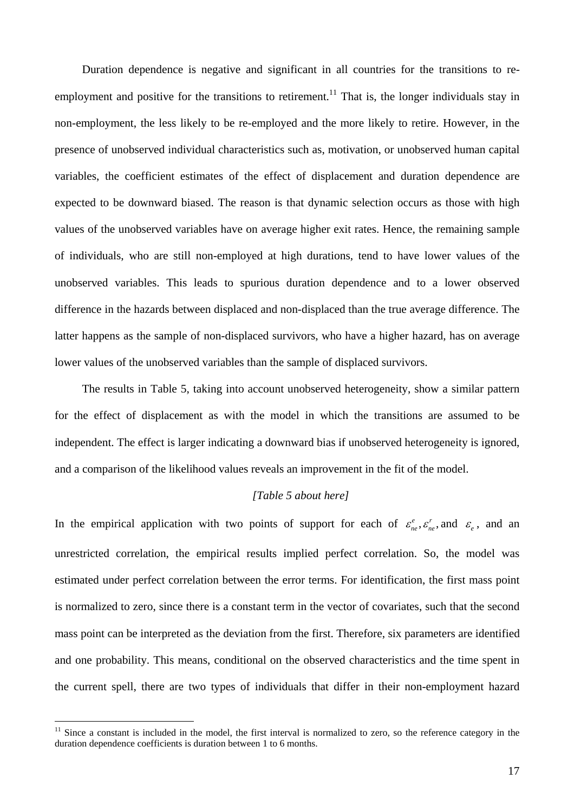Duration dependence is negative and significant in all countries for the transitions to reemployment and positive for the transitions to retirement.<sup>11</sup> That is, the longer individuals stay in non-employment, the less likely to be re-employed and the more likely to retire. However, in the presence of unobserved individual characteristics such as, motivation, or unobserved human capital variables, the coefficient estimates of the effect of displacement and duration dependence are expected to be downward biased. The reason is that dynamic selection occurs as those with high values of the unobserved variables have on average higher exit rates. Hence, the remaining sample of individuals, who are still non-employed at high durations, tend to have lower values of the unobserved variables. This leads to spurious duration dependence and to a lower observed difference in the hazards between displaced and non-displaced than the true average difference. The latter happens as the sample of non-displaced survivors, who have a higher hazard, has on average lower values of the unobserved variables than the sample of displaced survivors.

The results in Table 5, taking into account unobserved heterogeneity, show a similar pattern for the effect of displacement as with the model in which the transitions are assumed to be independent. The effect is larger indicating a downward bias if unobserved heterogeneity is ignored, and a comparison of the likelihood values reveals an improvement in the fit of the model.

# *[Table 5 about here]*

In the empirical application with two points of support for each of  $\varepsilon_{ne}^e$ ,  $\varepsilon_{ne}^r$ , and  $\varepsilon_e$ , and an unrestricted correlation, the empirical results implied perfect correlation. So, the model was estimated under perfect correlation between the error terms. For identification, the first mass point is normalized to zero, since there is a constant term in the vector of covariates, such that the second mass point can be interpreted as the deviation from the first. Therefore, six parameters are identified and one probability. This means, conditional on the observed characteristics and the time spent in the current spell, there are two types of individuals that differ in their non-employment hazard

<span id="page-18-0"></span> $11$  Since a constant is included in the model, the first interval is normalized to zero, so the reference category in the duration dependence coefficients is duration between 1 to 6 months.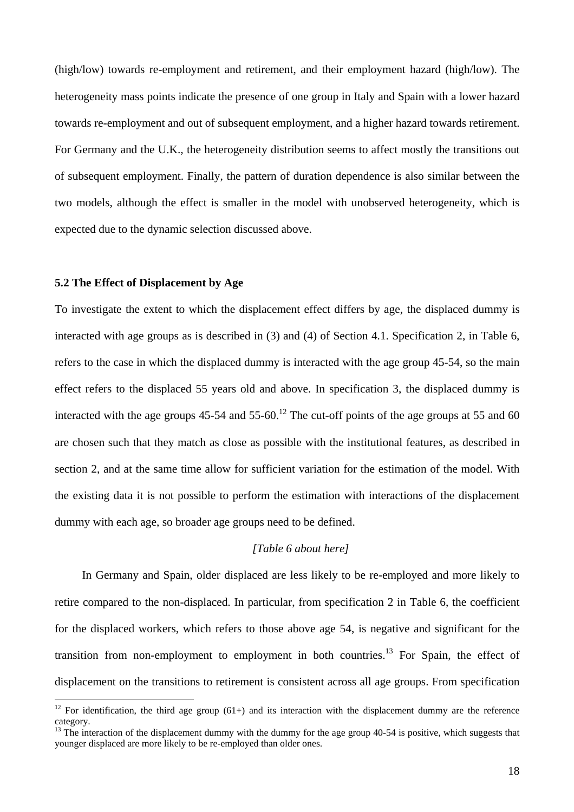(high/low) towards re-employment and retirement, and their employment hazard (high/low). The heterogeneity mass points indicate the presence of one group in Italy and Spain with a lower hazard towards re-employment and out of subsequent employment, and a higher hazard towards retirement. For Germany and the U.K., the heterogeneity distribution seems to affect mostly the transitions out of subsequent employment. Finally, the pattern of duration dependence is also similar between the two models, although the effect is smaller in the model with unobserved heterogeneity, which is expected due to the dynamic selection discussed above.

# **5.2 The Effect of Displacement by Age**

To investigate the extent to which the displacement effect differs by age, the displaced dummy is interacted with age groups as is described in (3) and (4) of Section 4.1. Specification 2, in Table 6, refers to the case in which the displaced dummy is interacted with the age group 45-54, so the main effect refers to the displaced 55 years old and above. In specification 3, the displaced dummy is interacted with the age groups  $45-54$  and  $55-60$ .<sup>12</sup> The cut-off points of the age groups at 55 and 60 are chosen such that they match as close as possible with the institutional features, as described in section 2, and at the same time allow for sufficient variation for the estimation of the model. With the existing data it is not possible to perform the estimation with interactions of the displacement dummy with each age, so broader age groups need to be defined.

#### *[Table 6 about here]*

In Germany and Spain, older displaced are less likely to be re-employed and more likely to retire compared to the non-displaced. In particular, from specification 2 in Table 6, the coefficient for the displaced workers, which refers to those above age 54, is negative and significant for the transition from non-employment to employment in both countries.<sup>13</sup> For Spain, the effect of displacement on the transitions to retirement is consistent across all age groups. From specification

<span id="page-19-0"></span><sup>&</sup>lt;sup>12</sup> For identification, the third age group (61+) and its interaction with the displacement dummy are the reference category.

<span id="page-19-1"></span><sup>&</sup>lt;sup>13</sup> The interaction of the displacement dummy with the dummy for the age group 40-54 is positive, which suggests that younger displaced are more likely to be re-employed than older ones.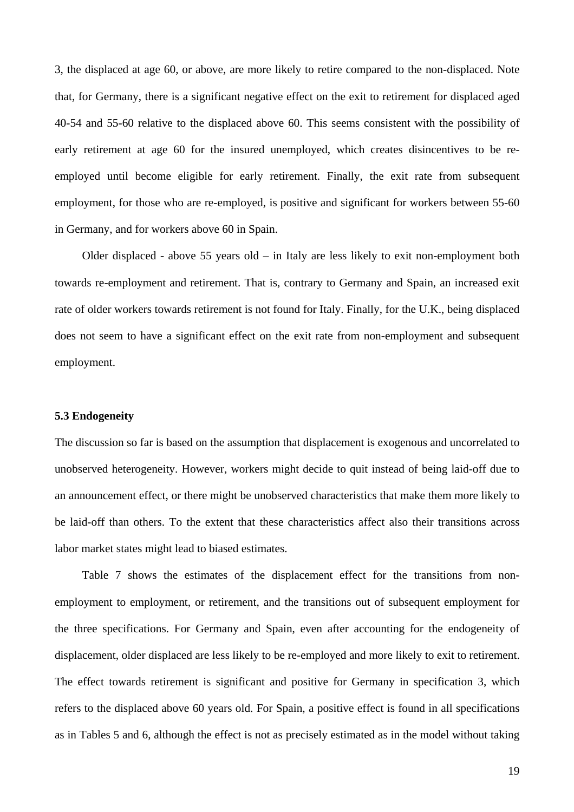3, the displaced at age 60, or above, are more likely to retire compared to the non-displaced. Note that, for Germany, there is a significant negative effect on the exit to retirement for displaced aged 40-54 and 55-60 relative to the displaced above 60. This seems consistent with the possibility of early retirement at age 60 for the insured unemployed, which creates disincentives to be reemployed until become eligible for early retirement. Finally, the exit rate from subsequent employment, for those who are re-employed, is positive and significant for workers between 55-60 in Germany, and for workers above 60 in Spain.

Older displaced - above 55 years old – in Italy are less likely to exit non-employment both towards re-employment and retirement. That is, contrary to Germany and Spain, an increased exit rate of older workers towards retirement is not found for Italy. Finally, for the U.K., being displaced does not seem to have a significant effect on the exit rate from non-employment and subsequent employment.

#### **5.3 Endogeneity**

The discussion so far is based on the assumption that displacement is exogenous and uncorrelated to unobserved heterogeneity. However, workers might decide to quit instead of being laid-off due to an announcement effect, or there might be unobserved characteristics that make them more likely to be laid-off than others. To the extent that these characteristics affect also their transitions across labor market states might lead to biased estimates.

Table 7 shows the estimates of the displacement effect for the transitions from nonemployment to employment, or retirement, and the transitions out of subsequent employment for the three specifications. For Germany and Spain, even after accounting for the endogeneity of displacement, older displaced are less likely to be re-employed and more likely to exit to retirement. The effect towards retirement is significant and positive for Germany in specification 3, which refers to the displaced above 60 years old. For Spain, a positive effect is found in all specifications as in Tables 5 and 6, although the effect is not as precisely estimated as in the model without taking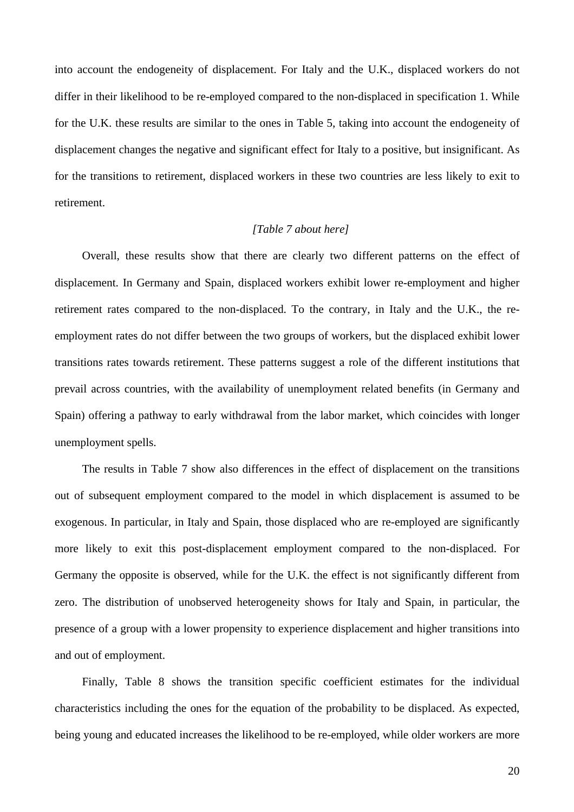into account the endogeneity of displacement. For Italy and the U.K., displaced workers do not differ in their likelihood to be re-employed compared to the non-displaced in specification 1. While for the U.K. these results are similar to the ones in Table 5, taking into account the endogeneity of displacement changes the negative and significant effect for Italy to a positive, but insignificant. As for the transitions to retirement, displaced workers in these two countries are less likely to exit to retirement.

# *[Table 7 about here]*

Overall, these results show that there are clearly two different patterns on the effect of displacement. In Germany and Spain, displaced workers exhibit lower re-employment and higher retirement rates compared to the non-displaced. To the contrary, in Italy and the U.K., the reemployment rates do not differ between the two groups of workers, but the displaced exhibit lower transitions rates towards retirement. These patterns suggest a role of the different institutions that prevail across countries, with the availability of unemployment related benefits (in Germany and Spain) offering a pathway to early withdrawal from the labor market, which coincides with longer unemployment spells.

The results in Table 7 show also differences in the effect of displacement on the transitions out of subsequent employment compared to the model in which displacement is assumed to be exogenous. In particular, in Italy and Spain, those displaced who are re-employed are significantly more likely to exit this post-displacement employment compared to the non-displaced. For Germany the opposite is observed, while for the U.K. the effect is not significantly different from zero. The distribution of unobserved heterogeneity shows for Italy and Spain, in particular, the presence of a group with a lower propensity to experience displacement and higher transitions into and out of employment.

Finally, Table 8 shows the transition specific coefficient estimates for the individual characteristics including the ones for the equation of the probability to be displaced. As expected, being young and educated increases the likelihood to be re-employed, while older workers are more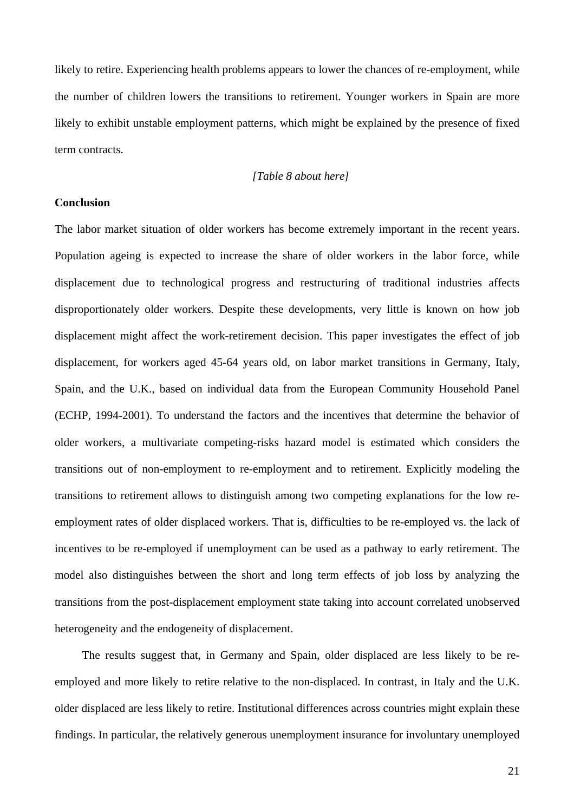likely to retire. Experiencing health problems appears to lower the chances of re-employment, while the number of children lowers the transitions to retirement. Younger workers in Spain are more likely to exhibit unstable employment patterns, which might be explained by the presence of fixed term contracts.

# *[Table 8 about here]*

#### **Conclusion**

The labor market situation of older workers has become extremely important in the recent years. Population ageing is expected to increase the share of older workers in the labor force, while displacement due to technological progress and restructuring of traditional industries affects disproportionately older workers. Despite these developments, very little is known on how job displacement might affect the work-retirement decision. This paper investigates the effect of job displacement, for workers aged 45-64 years old, on labor market transitions in Germany, Italy, Spain, and the U.K., based on individual data from the European Community Household Panel (ECHP, 1994-2001). To understand the factors and the incentives that determine the behavior of older workers, a multivariate competing-risks hazard model is estimated which considers the transitions out of non-employment to re-employment and to retirement. Explicitly modeling the transitions to retirement allows to distinguish among two competing explanations for the low reemployment rates of older displaced workers. That is, difficulties to be re-employed vs. the lack of incentives to be re-employed if unemployment can be used as a pathway to early retirement. The model also distinguishes between the short and long term effects of job loss by analyzing the transitions from the post-displacement employment state taking into account correlated unobserved heterogeneity and the endogeneity of displacement.

The results suggest that, in Germany and Spain, older displaced are less likely to be reemployed and more likely to retire relative to the non-displaced. In contrast, in Italy and the U.K. older displaced are less likely to retire. Institutional differences across countries might explain these findings. In particular, the relatively generous unemployment insurance for involuntary unemployed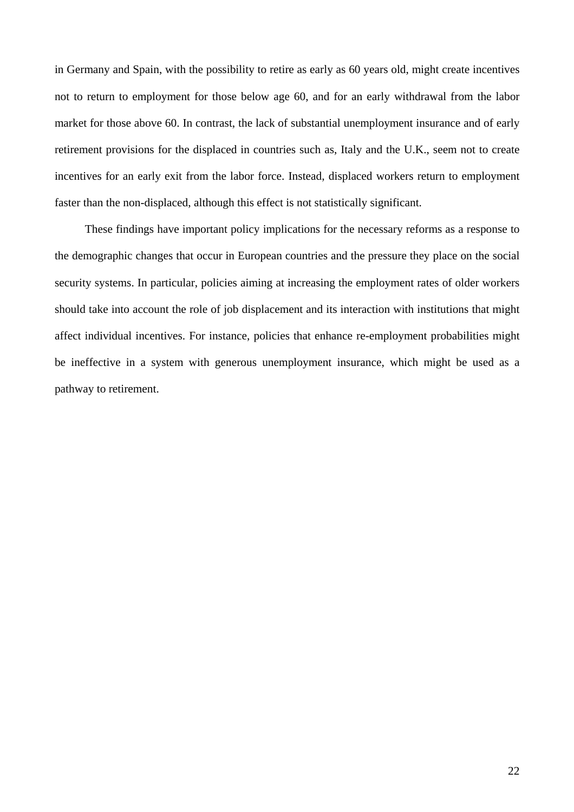in Germany and Spain, with the possibility to retire as early as 60 years old, might create incentives not to return to employment for those below age 60, and for an early withdrawal from the labor market for those above 60. In contrast, the lack of substantial unemployment insurance and of early retirement provisions for the displaced in countries such as, Italy and the U.K., seem not to create incentives for an early exit from the labor force. Instead, displaced workers return to employment faster than the non-displaced, although this effect is not statistically significant.

These findings have important policy implications for the necessary reforms as a response to the demographic changes that occur in European countries and the pressure they place on the social security systems. In particular, policies aiming at increasing the employment rates of older workers should take into account the role of job displacement and its interaction with institutions that might affect individual incentives. For instance, policies that enhance re-employment probabilities might be ineffective in a system with generous unemployment insurance, which might be used as a pathway to retirement.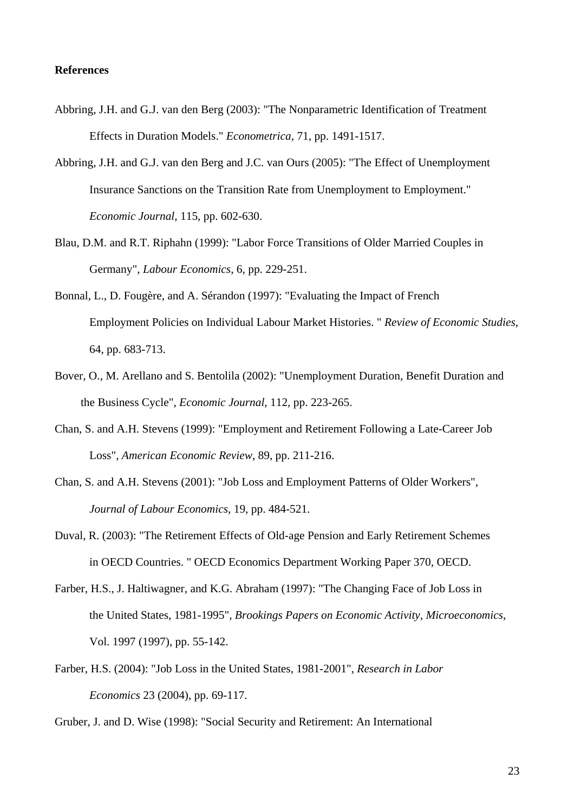# **References**

- Abbring, J.H. and G.J. van den Berg (2003): "The Nonparametric Identification of Treatment Effects in Duration Models." *Econometrica*, 71, pp. 1491-1517.
- Abbring, J.H. and G.J. van den Berg and J.C. van Ours (2005): "The Effect of Unemployment Insurance Sanctions on the Transition Rate from Unemployment to Employment." *Economic Journal*, 115, pp. 602-630.
- Blau, D.M. and R.T. Riphahn (1999): "Labor Force Transitions of Older Married Couples in Germany", *Labour Economics*, 6, pp. 229-251.
- Bonnal, L., D. Fougère, and A. Sérandon (1997): "Evaluating the Impact of French Employment Policies on Individual Labour Market Histories. " *Review of Economic Studies*, 64, pp. 683-713.
- Bover, O., M. Arellano and S. Bentolila (2002): "Unemployment Duration, Benefit Duration and the Business Cycle", *Economic Journal*, 112, pp. 223-265.
- Chan, S. and A.H. Stevens (1999): "Employment and Retirement Following a Late-Career Job Loss", *American Economic Review*, 89, pp. 211-216.
- Chan, S. and A.H. Stevens (2001): "Job Loss and Employment Patterns of Older Workers", *Journal of Labour Economics*, 19, pp. 484-521.
- Duval, R. (2003): "The Retirement Effects of Old-age Pension and Early Retirement Schemes in OECD Countries. " OECD Economics Department Working Paper 370, OECD.
- Farber, H.S., J. Haltiwagner, and K.G. Abraham (1997): "The Changing Face of Job Loss in the United States, 1981-1995", *Brookings Papers on Economic Activity, Microeconomics*, Vol. 1997 (1997), pp. 55-142.
- Farber, H.S. (2004): "Job Loss in the United States, 1981-2001", *Research in Labor Economics* 23 (2004), pp. 69-117.

Gruber, J. and D. Wise (1998): "Social Security and Retirement: An International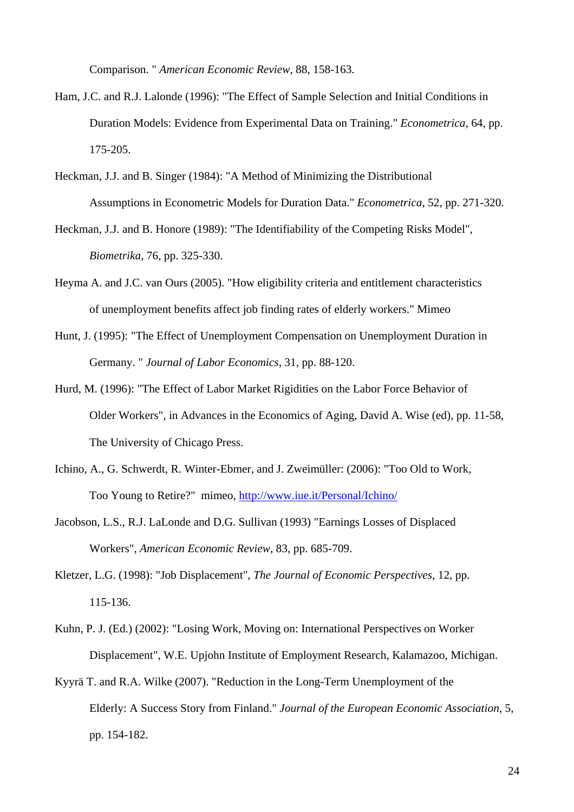Comparison. " *American Economic Review*, 88, 158-163.

- Ham, J.C. and R.J. Lalonde (1996): "The Effect of Sample Selection and Initial Conditions in Duration Models: Evidence from Experimental Data on Training." *Econometrica*, 64, pp. 175-205.
- Heckman, J.J. and B. Singer (1984): "A Method of Minimizing the Distributional Assumptions in Econometric Models for Duration Data." *Econometrica*, 52, pp. 271-320.
- Heckman, J.J. and B. Honore (1989): "The Identifiability of the Competing Risks Model", *Biometrika*, 76, pp. 325-330.
- Heyma A. and J.C. van Ours (2005). "How eligibility criteria and entitlement characteristics of unemployment benefits affect job finding rates of elderly workers." Mimeo
- Hunt, J. (1995): "The Effect of Unemployment Compensation on Unemployment Duration in Germany. " *Journal of Labor Economics*, 31, pp. 88-120.
- Hurd, M. (1996): "The Effect of Labor Market Rigidities on the Labor Force Behavior of Older Workers", in Advances in the Economics of Aging, David A. Wise (ed), pp. 11-58, The University of Chicago Press.
- Ichino, A., G. Schwerdt, R. Winter-Ebmer, and J. Zweimüller: (2006): "Too Old to Work, Too Young to Retire?" mimeo, <http://www.iue.it/Personal/Ichino/>
- Jacobson, L.S., R.J. LaLonde and D.G. Sullivan (1993) "Earnings Losses of Displaced Workers", *American Economic Review*, 83, pp. 685-709.
- Kletzer, L.G. (1998): "Job Displacement", *The Journal of Economic Perspectives*, 12, pp. 115-136.
- Kuhn, P. J. (Ed.) (2002): "Losing Work, Moving on: International Perspectives on Worker Displacement", W.E. Upjohn Institute of Employment Research, Kalamazoo, Michigan.
- Kyyrä T. and R.A. Wilke (2007). "Reduction in the Long-Term Unemployment of the Elderly: A Success Story from Finland." *Journal of the European Economic Association*, 5, pp. 154-182.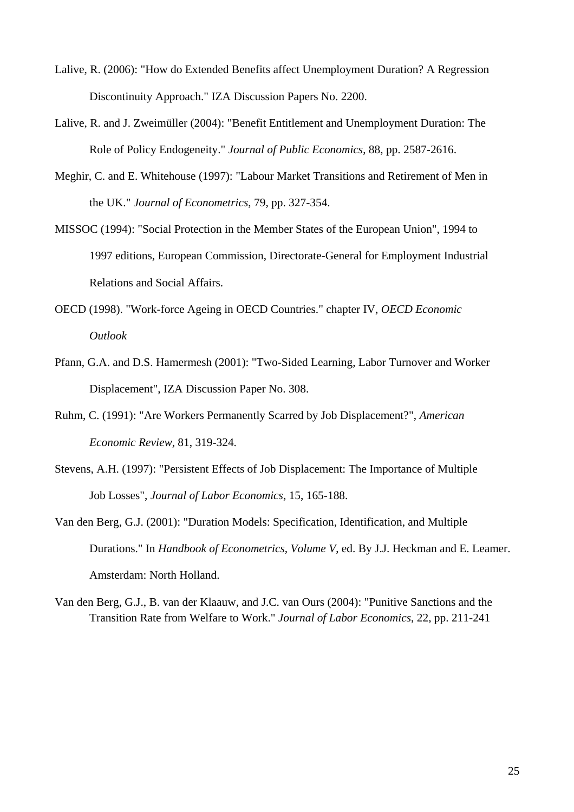- Lalive, R. (2006): "How do Extended Benefits affect Unemployment Duration? A Regression Discontinuity Approach." IZA Discussion Papers No. 2200.
- Lalive, R. and J. Zweimüller (2004): "Benefit Entitlement and Unemployment Duration: The Role of Policy Endogeneity." *Journal of Public Economics*, 88, pp. 2587-2616.
- Meghir, C. and E. Whitehouse (1997): "Labour Market Transitions and Retirement of Men in the UK." *Journal of Econometrics*, 79, pp. 327-354.
- MISSOC (1994): "Social Protection in the Member States of the European Union", 1994 to 1997 editions, European Commission, Directorate-General for Employment Industrial Relations and Social Affairs.
- OECD (1998). "Work-force Ageing in OECD Countries." chapter IV, *OECD Economic Outlook*
- Pfann, G.A. and D.S. Hamermesh (2001): "Two-Sided Learning, Labor Turnover and Worker Displacement", IZA Discussion Paper No. 308.
- Ruhm, C. (1991): "Are Workers Permanently Scarred by Job Displacement?", *American Economic Review*, 81, 319-324.
- Stevens, A.H. (1997): "Persistent Effects of Job Displacement: The Importance of Multiple Job Losses", *Journal of Labor Economics*, 15, 165-188.
- Van den Berg, G.J. (2001): "Duration Models: Specification, Identification, and Multiple Durations." In *Handbook of Econometrics, Volume V*, ed. By J.J. Heckman and E. Leamer. Amsterdam: North Holland.
- Van den Berg, G.J., B. van der Klaauw, and J.C. van Ours (2004): "Punitive Sanctions and the Transition Rate from Welfare to Work." *Journal of Labor Economics*, 22, pp. 211-241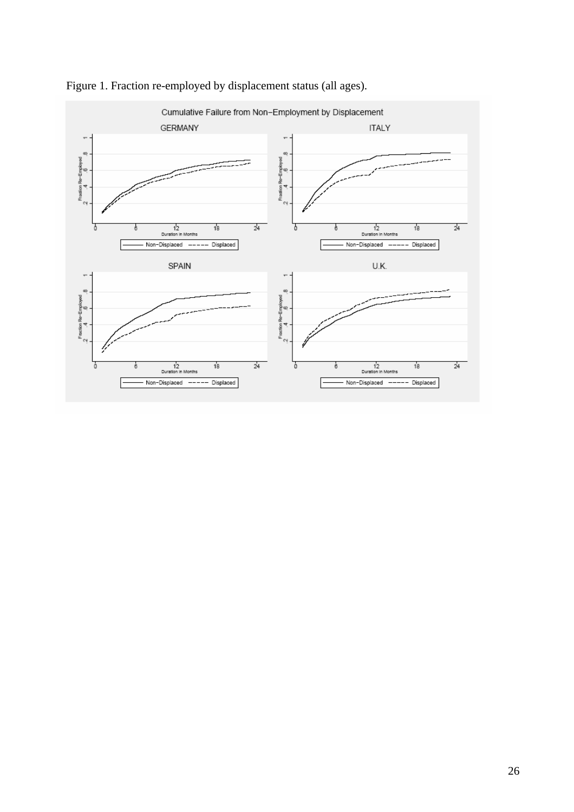

Figure 1. Fraction re-employed by displacement status (all ages).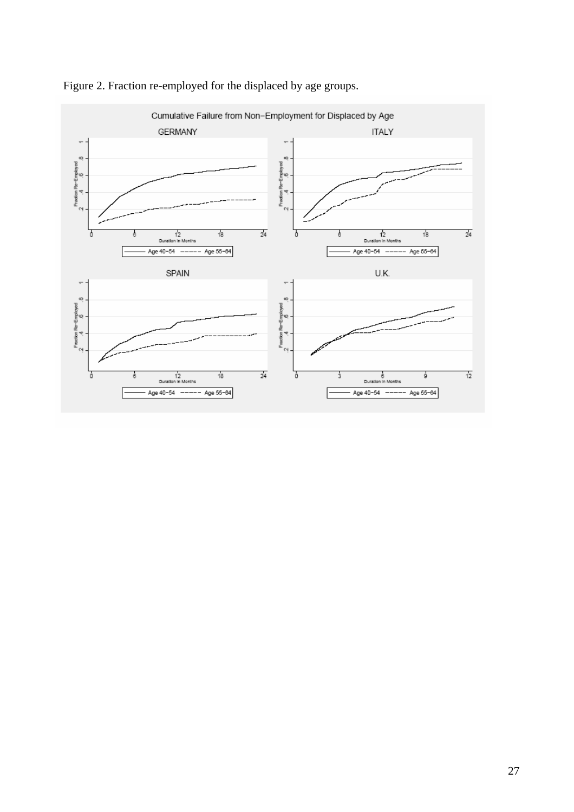

Figure 2. Fraction re-employed for the displaced by age groups.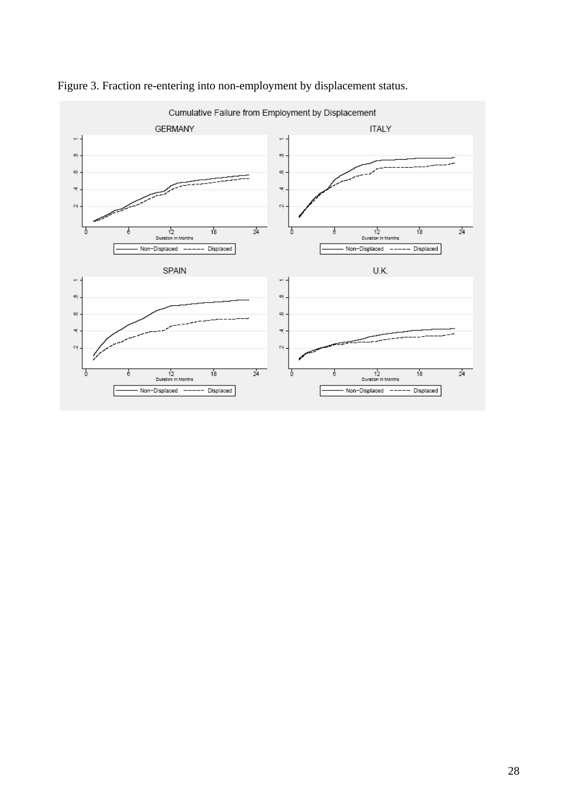

Figure 3. Fraction re-entering into non-employment by displacement status.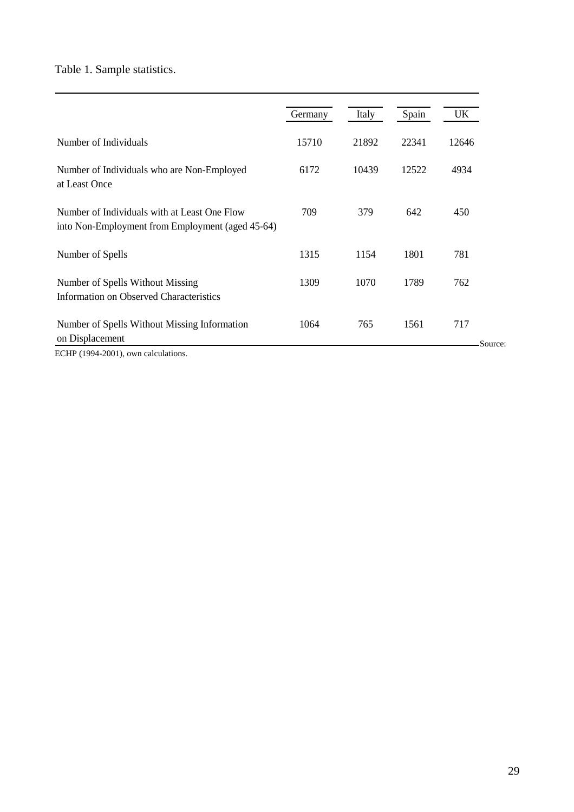Table 1. Sample statistics.

|                                                                                                  | Germany | Italy | Spain | UK             |
|--------------------------------------------------------------------------------------------------|---------|-------|-------|----------------|
| Number of Individuals                                                                            | 15710   | 21892 | 22341 | 12646          |
| Number of Individuals who are Non-Employed<br>at Least Once                                      | 6172    | 10439 | 12522 | 4934           |
| Number of Individuals with at Least One Flow<br>into Non-Employment from Employment (aged 45-64) | 709     | 379   | 642   | 450            |
| Number of Spells                                                                                 | 1315    | 1154  | 1801  | 781            |
| Number of Spells Without Missing<br><b>Information on Observed Characteristics</b>               | 1309    | 1070  | 1789  | 762            |
| Number of Spells Without Missing Information<br>on Displacement                                  | 1064    | 765   | 1561  | 717<br>Source: |

ECHP (1994-2001), own calculations.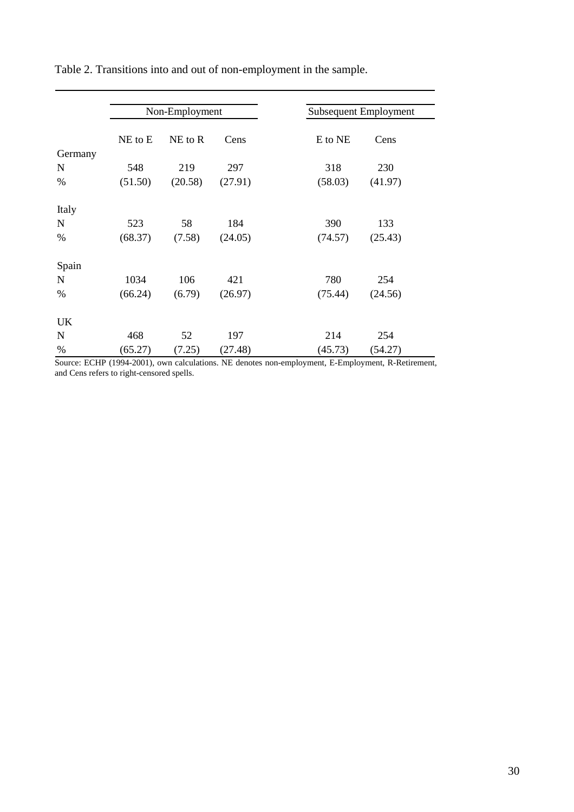|             |             | Non-Employment |         |         | Subsequent Employment |
|-------------|-------------|----------------|---------|---------|-----------------------|
|             | $NE$ to $E$ | $NE$ to $R$    | Cens    | E to NE | Cens                  |
| Germany     |             |                |         |         |                       |
| N           | 548         | 219            | 297     | 318     | 230                   |
| %           | (51.50)     | (20.58)        | (27.91) | (58.03) | (41.97)               |
| Italy       |             |                |         |         |                       |
| N           | 523         | 58             | 184     | 390     | 133                   |
| %           | (68.37)     | (7.58)         | (24.05) | (74.57) | (25.43)               |
| Spain       |             |                |         |         |                       |
| ${\bf N}$   | 1034        | 106            | 421     | 780     | 254                   |
| %           | (66.24)     | (6.79)         | (26.97) | (75.44) | (24.56)               |
| UK          |             |                |         |         |                       |
| $\mathbf N$ | 468         | 52             | 197     | 214     | 254                   |
| %           | (65.27)     | (7.25)         | (27.48) | (45.73) | (54.27)               |

Table 2. Transitions into and out of non-employment in the sample.

Source: ECHP (1994-2001), own calculations. NE denotes non-employment, E-Employment, R-Retirement, and Cens refers to right-censored spells.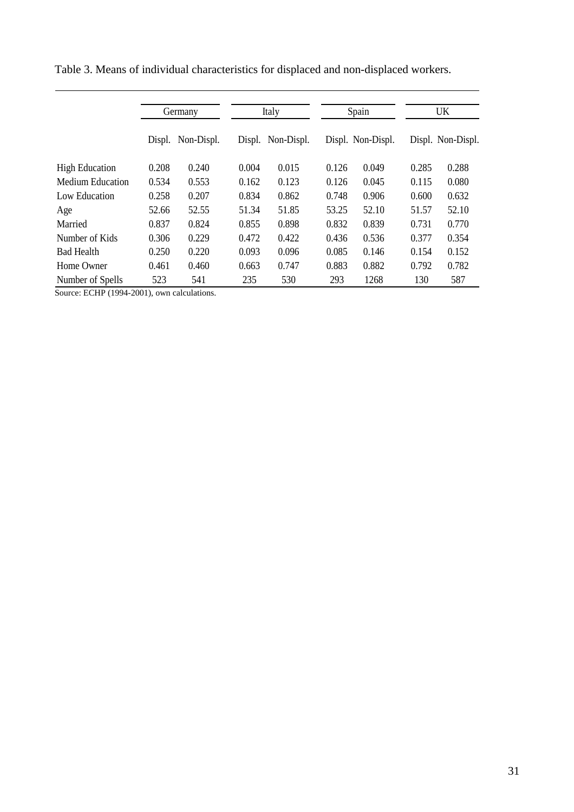|                         | Germany |                   | Italy |                   | Spain |                   | UK    |                   |
|-------------------------|---------|-------------------|-------|-------------------|-------|-------------------|-------|-------------------|
|                         |         | Displ. Non-Displ. |       | Displ. Non-Displ. |       | Displ. Non-Displ. |       | Displ. Non-Displ. |
| <b>High Education</b>   | 0.208   | 0.240             | 0.004 | 0.015             | 0.126 | 0.049             | 0.285 | 0.288             |
| <b>Medium Education</b> | 0.534   | 0.553             | 0.162 | 0.123             | 0.126 | 0.045             | 0.115 | 0.080             |
| Low Education           | 0.258   | 0.207             | 0.834 | 0.862             | 0.748 | 0.906             | 0.600 | 0.632             |
| Age                     | 52.66   | 52.55             | 51.34 | 51.85             | 53.25 | 52.10             | 51.57 | 52.10             |
| Married                 | 0.837   | 0.824             | 0.855 | 0.898             | 0.832 | 0.839             | 0.731 | 0.770             |
| Number of Kids          | 0.306   | 0.229             | 0.472 | 0.422             | 0.436 | 0.536             | 0.377 | 0.354             |
| <b>Bad Health</b>       | 0.250   | 0.220             | 0.093 | 0.096             | 0.085 | 0.146             | 0.154 | 0.152             |
| Home Owner              | 0.461   | 0.460             | 0.663 | 0.747             | 0.883 | 0.882             | 0.792 | 0.782             |
| Number of Spells        | 523     | 541               | 235   | 530               | 293   | 1268              | 130   | 587               |

Table 3. Means of individual characteristics for displaced and non-displaced workers.

Source: ECHP (1994-2001), own calculations.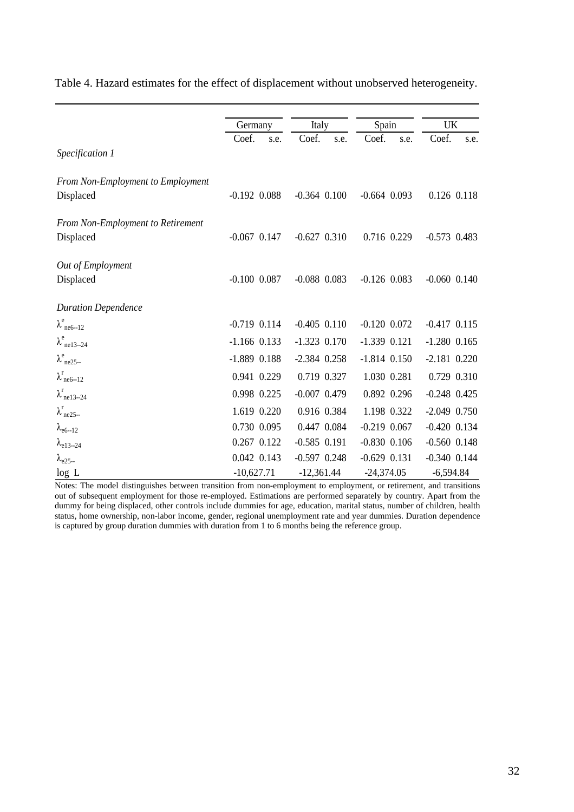|                                          | Germany          | Italy            | Spain            | UK               |  |
|------------------------------------------|------------------|------------------|------------------|------------------|--|
|                                          | Coef.<br>s.e.    | Coef.<br>s.e.    | Coef.<br>s.e.    | Coef.<br>s.e.    |  |
| Specification 1                          |                  |                  |                  |                  |  |
| From Non-Employment to Employment        |                  |                  |                  |                  |  |
| Displaced                                | $-0.192$ $0.088$ | $-0.364$ $0.100$ | $-0.664$ 0.093   | 0.126 0.118      |  |
| <b>From Non-Employment to Retirement</b> |                  |                  |                  |                  |  |
| Displaced                                | $-0.067$ $0.147$ | $-0.627$ $0.310$ | 0.716 0.229      | $-0.573$ 0.483   |  |
| Out of Employment                        |                  |                  |                  |                  |  |
| Displaced                                | $-0.100$ $0.087$ | $-0.088$ 0.083   | $-0.126$ 0.083   | $-0.060$ $0.140$ |  |
| <b>Duration Dependence</b>               |                  |                  |                  |                  |  |
| $\lambda^e$ <sub>ne6--12</sub>           | $-0.719$ $0.114$ | $-0.405$ $0.110$ | $-0.120$ $0.072$ | $-0.417$ $0.115$ |  |
| $\lambda^e_{ne13-24}$                    | $-1.166$ 0.133   | $-1.323$ 0.170   | $-1.339$ $0.121$ | $-1.280$ 0.165   |  |
| $\lambda_{\text{ne25-}}^e$               | $-1.889$ 0.188   | $-2.384$ 0.258   | $-1.814$ $0.150$ | $-2.181$ 0.220   |  |
| $\lambda_{\text{ne}6-12}^{\text{r}}$     | 0.941 0.229      | 0.719 0.327      | 1.030 0.281      | 0.729 0.310      |  |
| $\lambda_{\text{ne}13-24}^{\text{r}}$    | 0.998 0.225      | $-0.007$ 0.479   | 0.892 0.296      | $-0.248$ 0.425   |  |
| $\lambda_{\text{ne25-}}^{\text{r}}$      | 1.619 0.220      | 0.916 0.384      | 1.198 0.322      | $-2.049$ 0.750   |  |
| $\lambda_{e6-12}$                        | 0.730 0.095      | 0.447 0.084      | $-0.219$ $0.067$ | $-0.420$ $0.134$ |  |
| $\lambda_{e13-24}$                       | 0.267 0.122      | $-0.585$ $0.191$ | $-0.830$ $0.106$ | $-0.560$ $0.148$ |  |
| $\lambda_{e25}$                          | 0.042 0.143      | $-0.597$ $0.248$ | $-0.629$ $0.131$ | $-0.340$ $0.144$ |  |
| log L                                    | $-10,627.71$     | $-12,361.44$     | $-24,374.05$     | $-6,594.84$      |  |

Table 4. Hazard estimates for the effect of displacement without unobserved heterogeneity.

Notes: The model distinguishes between transition from non-employment to employment, or retirement, and transitions out of subsequent employment for those re-employed. Estimations are performed separately by country. Apart from the dummy for being displaced, other controls include dummies for age, education, marital status, number of children, health status, home ownership, non-labor income, gender, regional unemployment rate and year dummies. Duration dependence is captured by group duration dummies with duration from 1 to 6 months being the reference group.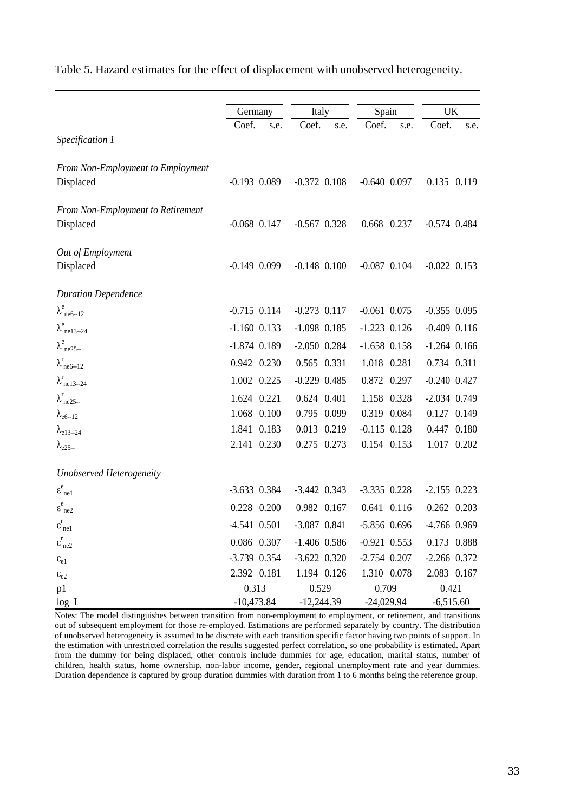|                                                       |                  |                  |                  | <b>UK</b>        |  |
|-------------------------------------------------------|------------------|------------------|------------------|------------------|--|
|                                                       | Germany          | Italy            | Spain            |                  |  |
| Specification 1                                       | Coef.<br>s.e.    | Coef.<br>s.e.    | Coef.<br>s.e.    | Coef.<br>s.e.    |  |
| From Non-Employment to Employment<br>Displaced        | $-0.193$ 0.089   | $-0.372$ $0.108$ | $-0.640$ $0.097$ | 0.135 0.119      |  |
|                                                       |                  |                  |                  |                  |  |
| <b>From Non-Employment to Retirement</b><br>Displaced | $-0.068$ $0.147$ | $-0.567$ 0.328   | 0.668 0.237      | $-0.574$ 0.484   |  |
| Out of Employment                                     |                  |                  |                  |                  |  |
| Displaced                                             | $-0.149$ 0.099   | $-0.148$ 0.100   | $-0.087$ 0.104   | $-0.022$ 0.153   |  |
| <b>Duration Dependence</b>                            |                  |                  |                  |                  |  |
| $\lambda^e_{ne6-12}$                                  | $-0.715$ 0.114   | $-0.273$ 0.117   | $-0.061$ $0.075$ | $-0.355$ 0.095   |  |
| $\lambda^e_{ne13-24}$                                 | $-1.160$ 0.133   | $-1.098$ 0.185   | $-1.223$ 0.126   | $-0.409$ $0.116$ |  |
| $\lambda^e$ <sub>ne25</sub>                           | $-1.874$ 0.189   | $-2.050$ $0.284$ | $-1.658$ 0.158   | $-1.264$ 0.166   |  |
| $\lambda_{\text{ne6-12}}^{\text{r}}$                  | 0.942 0.230      | 0.565 0.331      | 1.018 0.281      | 0.734 0.311      |  |
| $\lambda_{\text{nel3--24}}^{\text{r}}$                | 1.002 0.225      | $-0.229$ 0.485   | 0.872 0.297      | $-0.240$ $0.427$ |  |
| $\lambda_{\text{ne25-}}^{\text{r}}$                   | 1.624 0.221      | 0.624 0.401      | 1.158 0.328      | $-2.034$ 0.749   |  |
| $\lambda_{e6-12}$                                     | 1.068 0.100      | 0.795 0.099      | 0.319 0.084      | 0.127 0.149      |  |
| $\lambda_{e13-24}$                                    | 1.841 0.183      | 0.013 0.219      | $-0.115$ $0.128$ | 0.447 0.180      |  |
| $\lambda_{e25}$                                       | 2.141 0.230      | 0.275 0.273      | 0.154 0.153      | 1.017 0.202      |  |
| Unobserved Heterogeneity                              |                  |                  |                  |                  |  |
| $\epsilon_{\text{ne1}}^e$                             | $-3.633$ 0.384   | $-3.442$ 0.343   | $-3.335$ 0.228   | $-2.155$ 0.223   |  |
| $\epsilon^e_{ne2}$                                    | 0.228 0.200      | 0.982 0.167      | 0.641 0.116      | 0.262 0.203      |  |
| $\epsilon_{\text{nel}}^{\text{r}}$                    | $-4.541$ 0.501   | $-3.087$ $0.841$ | $-5.856$ 0.696   | -4.766 0.969     |  |
| $\epsilon_{\text{ne2}}^{\text{r}}$                    | 0.086 0.307      | $-1.406$ 0.586   | $-0.921$ $0.553$ | 0.173 0.888      |  |
| $\epsilon_{\rm e1}$                                   | $-3.739$ 0.354   | $-3.622$ 0.320   | $-2.754$ 0.207   | $-2.266$ 0.372   |  |
| $\epsilon_{\rm e2}$                                   | 2.392 0.181      | 1.194 0.126      | 1.310 0.078      | 2.083 0.167      |  |
| p1                                                    | 0.313            | 0.529            | 0.709            | 0.421            |  |
| log L                                                 | $-10,473.84$     | $-12,244.39$     | $-24,029.94$     | $-6,515.60$      |  |

Notes: The model distinguishes between transition from non-employment to employment, or retirement, and transitions out of subsequent employment for those re-employed. Estimations are performed separately by country. The distribution of unobserved heterogeneity is assumed to be discrete with each transition specific factor having two points of support. In the estimation with unrestricted correlation the results suggested perfect correlation, so one probability is estimated. Apart from the dummy for being displaced, other controls include dummies for age, education, marital status, number of children, health status, home ownership, non-labor income, gender, regional unemployment rate and year dummies. Duration dependence is captured by group duration dummies with duration from 1 to 6 months being the reference group.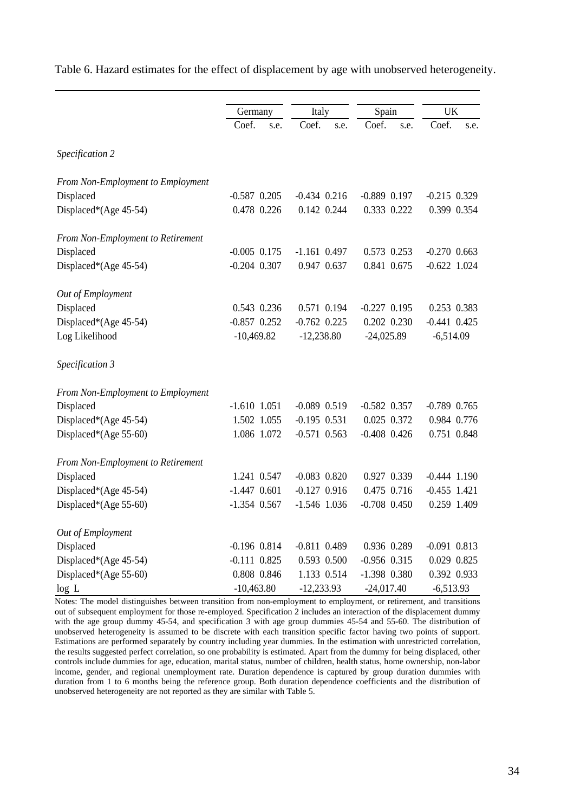|                                   | Germany          | Italy            | Spain            | <b>UK</b>        |
|-----------------------------------|------------------|------------------|------------------|------------------|
|                                   | Coef.<br>s.e.    | Coef.<br>s.e.    | Coef.<br>s.e.    | Coef.<br>s.e.    |
| Specification 2                   |                  |                  |                  |                  |
| From Non-Employment to Employment |                  |                  |                  |                  |
| Displaced                         | $-0.587$ 0.205   | $-0.434$ $0.216$ | $-0.889$ 0.197   | $-0.215$ 0.329   |
| Displaced*(Age 45-54)             | 0.478 0.226      | 0.142 0.244      | 0.333 0.222      | 0.399 0.354      |
| From Non-Employment to Retirement |                  |                  |                  |                  |
| Displaced                         | $-0.005$ 0.175   | $-1.161$ 0.497   | 0.573 0.253      | $-0.270$ 0.663   |
| Displaced*(Age 45-54)             | $-0.204$ $0.307$ | 0.947 0.637      | 0.841 0.675      | $-0.622$ 1.024   |
| Out of Employment                 |                  |                  |                  |                  |
| Displaced                         | 0.543 0.236      | 0.571 0.194      | $-0.227$ 0.195   | 0.253 0.383      |
| Displaced*(Age 45-54)             | $-0.857$ 0.252   | $-0.762$ 0.225   | 0.202 0.230      | $-0.441$ 0.425   |
| Log Likelihood                    | $-10,469.82$     | $-12,238.80$     | $-24,025.89$     | $-6,514.09$      |
| Specification 3                   |                  |                  |                  |                  |
| From Non-Employment to Employment |                  |                  |                  |                  |
| Displaced                         | $-1.610$ $1.051$ | $-0.089$ $0.519$ | $-0.582$ 0.357   | $-0.789$ 0.765   |
| Displaced*(Age 45-54)             | 1.502 1.055      | $-0.195$ $0.531$ | 0.025 0.372      | 0.984 0.776      |
| Displaced*(Age 55-60)             | 1.086 1.072      | $-0.571$ 0.563   | $-0.408$ 0.426   | 0.751 0.848      |
| From Non-Employment to Retirement |                  |                  |                  |                  |
| Displaced                         | 1.241 0.547      | $-0.083$ $0.820$ | 0.927 0.339      | $-0.444$ $1.190$ |
| Displaced*(Age 45-54)             | $-1.447$ 0.601   | $-0.127$ 0.916   | 0.475 0.716      | $-0.455$ 1.421   |
| Displaced*(Age 55-60)             | $-1.354$ 0.567   | $-1.546$ 1.036   | $-0.708$ 0.450   | 0.259 1.409      |
| Out of Employment                 |                  |                  |                  |                  |
| Displaced                         | $-0.196$ $0.814$ | $-0.811$ $0.489$ | 0.936 0.289      | $-0.091$ $0.813$ |
| Displaced*(Age 45-54)             | $-0.111$ $0.825$ | 0.593 0.500      | $-0.956$ $0.315$ | 0.029 0.825      |
| Displaced*(Age 55-60)             | 0.808 0.846      | 1.133 0.514      | $-1.398$ $0.380$ | 0.392 0.933      |
| log L                             | $-10,463.80$     | $-12,233.93$     | $-24,017.40$     | $-6,513.93$      |

Table 6. Hazard estimates for the effect of displacement by age with unobserved heterogeneity.

Notes: The model distinguishes between transition from non-employment to employment, or retirement, and transitions out of subsequent employment for those re-employed. Specification 2 includes an interaction of the displacement dummy with the age group dummy 45-54, and specification 3 with age group dummies 45-54 and 55-60. The distribution of unobserved heterogeneity is assumed to be discrete with each transition specific factor having two points of support. Estimations are performed separately by country including year dummies. In the estimation with unrestricted correlation, the results suggested perfect correlation, so one probability is estimated. Apart from the dummy for being displaced, other controls include dummies for age, education, marital status, number of children, health status, home ownership, non-labor income, gender, and regional unemployment rate. Duration dependence is captured by group duration dummies with duration from 1 to 6 months being the reference group. Both duration dependence coefficients and the distribution of unobserved heterogeneity are not reported as they are similar with Table 5.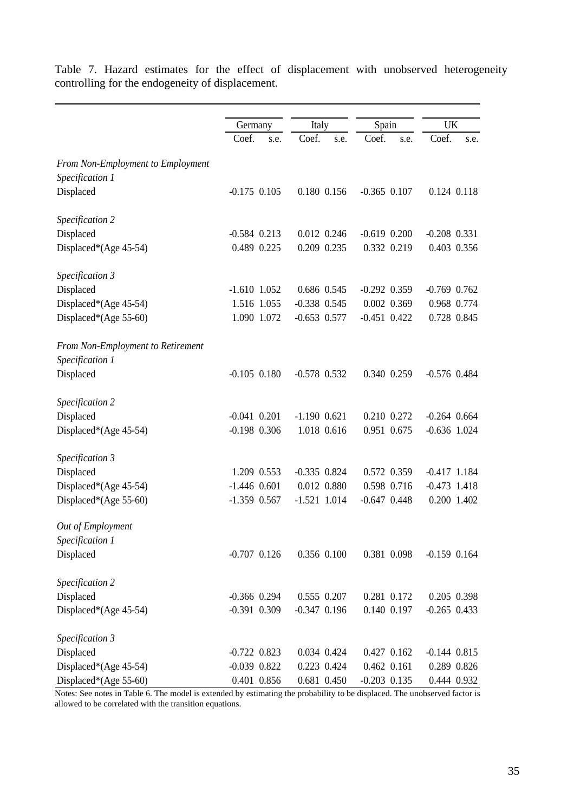|                                   | Germany          |             |                  |             |                  |             |                  |             |
|-----------------------------------|------------------|-------------|------------------|-------------|------------------|-------------|------------------|-------------|
|                                   |                  |             | Italy            |             | Spain            |             | <b>UK</b>        |             |
|                                   | Coef.            | s.e.        | Coef.            | s.e.        | Coef.            | s.e.        | Coef.            | s.e.        |
| From Non-Employment to Employment |                  |             |                  |             |                  |             |                  |             |
| Specification 1                   |                  |             |                  |             |                  |             |                  |             |
| Displaced                         | $-0.175$ $0.105$ |             |                  | 0.180 0.156 | $-0.365$ $0.107$ |             |                  | 0.124 0.118 |
| Specification 2                   |                  |             |                  |             |                  |             |                  |             |
| Displaced                         | $-0.584$ $0.213$ |             |                  | 0.012 0.246 | $-0.619$ $0.200$ |             | $-0.208$ 0.331   |             |
| Displaced*(Age 45-54)             | 0.489 0.225      |             |                  | 0.209 0.235 |                  | 0.332 0.219 |                  | 0.403 0.356 |
| Specification 3                   |                  |             |                  |             |                  |             |                  |             |
| Displaced                         | $-1.610$ $1.052$ |             |                  | 0.686 0.545 | $-0.292$ $0.359$ |             | $-0.769$ $0.762$ |             |
| Displaced*(Age 45-54)             |                  | 1.516 1.055 | $-0.338$ $0.545$ |             |                  | 0.002 0.369 |                  | 0.968 0.774 |
| Displaced*(Age 55-60)             |                  | 1.090 1.072 | $-0.653$ 0.577   |             | $-0.451$ $0.422$ |             |                  | 0.728 0.845 |
| From Non-Employment to Retirement |                  |             |                  |             |                  |             |                  |             |
| Specification 1                   |                  |             |                  |             |                  |             |                  |             |
| Displaced                         | $-0.105$ $0.180$ |             | $-0.578$ 0.532   |             |                  | 0.340 0.259 | $-0.576$ 0.484   |             |
| Specification 2                   |                  |             |                  |             |                  |             |                  |             |
| Displaced                         | $-0.041$ $0.201$ |             | $-1.190$ 0.621   |             |                  | 0.210 0.272 | $-0.264$ $0.664$ |             |
| Displaced*(Age 45-54)             | $-0.198$ 0.306   |             |                  | 1.018 0.616 |                  | 0.951 0.675 | $-0.636$ 1.024   |             |
| Specification 3                   |                  |             |                  |             |                  |             |                  |             |
| Displaced                         |                  | 1.209 0.553 | $-0.335$ $0.824$ |             |                  | 0.572 0.359 | $-0.417$ 1.184   |             |
| Displaced*(Age 45-54)             | $-1.446$ 0.601   |             |                  | 0.012 0.880 |                  | 0.598 0.716 | $-0.473$ 1.418   |             |
| Displaced*(Age 55-60)             | $-1.359$ 0.567   |             | $-1.521$ 1.014   |             | $-0.647$ $0.448$ |             |                  | 0.200 1.402 |
| Out of Employment                 |                  |             |                  |             |                  |             |                  |             |
| Specification 1                   |                  |             |                  |             |                  |             |                  |             |
| Displaced                         | $-0.707$ $0.126$ |             |                  | 0.356 0.100 |                  | 0.381 0.098 | $-0.159$ $0.164$ |             |
| Specification 2                   |                  |             |                  |             |                  |             |                  |             |
| Displaced                         | $-0.366$ 0.294   |             |                  | 0.555 0.207 |                  | 0.281 0.172 |                  | 0.205 0.398 |
| Displaced*(Age 45-54)             | $-0.391$ $0.309$ |             | $-0.347$ $0.196$ |             |                  | 0.140 0.197 | $-0.265$ 0.433   |             |
| Specification 3                   |                  |             |                  |             |                  |             |                  |             |
| Displaced                         | $-0.722$ 0.823   |             |                  | 0.034 0.424 |                  | 0.427 0.162 | $-0.144$ $0.815$ |             |
| Displaced*(Age 45-54)             | $-0.039$ $0.822$ |             |                  | 0.223 0.424 |                  | 0.462 0.161 |                  | 0.289 0.826 |
| Displaced*(Age 55-60)             | 0.401 0.856      |             |                  | 0.681 0.450 | $-0.203$ $0.135$ |             |                  | 0.444 0.932 |

Table 7. Hazard estimates for the effect of displacement with unobserved heterogeneity controlling for the endogeneity of displacement.

Notes: See notes in Table 6. The model is extended by estimating the probability to be displaced. The unobserved factor is allowed to be correlated with the transition equations.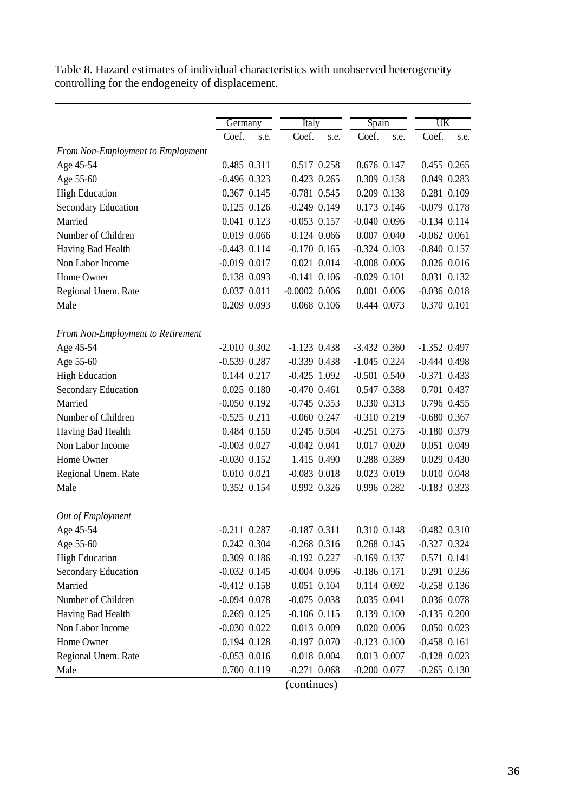Table 8. Hazard estimates of individual characteristics with unobserved heterogeneity controlling for the endogeneity of displacement.

|                                   |                  |             | <b>Italy</b>      |             | Spain            |             | UK               |             |
|-----------------------------------|------------------|-------------|-------------------|-------------|------------------|-------------|------------------|-------------|
|                                   | Germany<br>Coef. |             |                   |             | Coef.            |             |                  |             |
|                                   |                  | s.e.        | Coef.             | s.e.        |                  | s.e.        | Coef.            | s.e.        |
| From Non-Employment to Employment |                  |             |                   |             |                  |             |                  |             |
| Age 45-54                         |                  | 0.485 0.311 | 0.517 0.258       |             |                  | 0.676 0.147 |                  | 0.455 0.265 |
| Age 55-60                         | $-0.496$ $0.323$ |             | 0.423 0.265       |             | 0.309 0.158      |             |                  | 0.049 0.283 |
| <b>High Education</b>             |                  | 0.367 0.145 | $-0.781$ 0.545    |             |                  | 0.209 0.138 |                  | 0.281 0.109 |
| Secondary Education               |                  | 0.125 0.126 | $-0.249$ $0.149$  |             |                  | 0.173 0.146 | $-0.079$ 0.178   |             |
| Married                           |                  | 0.041 0.123 | $-0.053$ 0.157    |             | $-0.040$ $0.096$ |             | $-0.134$ $0.114$ |             |
| Number of Children                |                  | 0.019 0.066 | 0.124 0.066       |             |                  | 0.007 0.040 | $-0.062$ $0.061$ |             |
| Having Bad Health                 | $-0.443$ $0.114$ |             | $-0.170$ $0.165$  |             | $-0.324$ $0.103$ |             | $-0.840$ $0.157$ |             |
| Non Labor Income                  | $-0.019$ $0.017$ |             |                   | 0.021 0.014 | $-0.008$ 0.006   |             |                  | 0.026 0.016 |
| Home Owner                        |                  | 0.138 0.093 | $-0.141$ $0.106$  |             | $-0.029$ $0.101$ |             |                  | 0.031 0.132 |
| Regional Unem. Rate               |                  | 0.037 0.011 | $-0.0002$ $0.006$ |             |                  | 0.001 0.006 | $-0.036$ $0.018$ |             |
| Male                              |                  | 0.209 0.093 |                   | 0.068 0.106 | 0.444 0.073      |             |                  | 0.370 0.101 |
| From Non-Employment to Retirement |                  |             |                   |             |                  |             |                  |             |
| Age 45-54                         | $-2.010$ $0.302$ |             | $-1.123$ 0.438    |             | $-3.432$ 0.360   |             | $-1.352$ 0.497   |             |
| Age 55-60                         | $-0.539$ $0.287$ |             | $-0.339$ $0.438$  |             | $-1.045$ 0.224   |             | $-0.444$ $0.498$ |             |
| <b>High Education</b>             |                  | 0.144 0.217 | $-0.425$ 1.092    |             | $-0.501$ $0.540$ |             | $-0.371$ 0.433   |             |
| Secondary Education               |                  | 0.025 0.180 | $-0.470$ $0.461$  |             |                  | 0.547 0.388 |                  | 0.701 0.437 |
| Married                           | $-0.050$ $0.192$ |             | $-0.745$ 0.353    |             |                  | 0.330 0.313 |                  | 0.796 0.455 |
| Number of Children                | $-0.525$ $0.211$ |             | $-0.060$ $0.247$  |             | $-0.310$ $0.219$ |             | $-0.680$ $0.367$ |             |
| Having Bad Health                 |                  | 0.484 0.150 | 0.245 0.504       |             | $-0.251$ $0.275$ |             | $-0.180$ 0.379   |             |
| Non Labor Income                  | $-0.003$ $0.027$ |             | $-0.042$ $0.041$  |             |                  | 0.017 0.020 |                  | 0.051 0.049 |
| Home Owner                        | $-0.030$ $0.152$ |             |                   | 1.415 0.490 |                  | 0.288 0.389 |                  | 0.029 0.430 |
| Regional Unem. Rate               |                  | 0.010 0.021 | $-0.083$ $0.018$  |             |                  | 0.023 0.019 |                  | 0.010 0.048 |
| Male                              |                  | 0.352 0.154 |                   | 0.992 0.326 |                  | 0.996 0.282 | $-0.183$ 0.323   |             |
|                                   |                  |             |                   |             |                  |             |                  |             |
| Out of Employment                 |                  |             |                   |             |                  |             |                  |             |
| Age 45-54                         | $-0.211$ $0.287$ |             | $-0.187$ $0.311$  |             |                  | 0.310 0.148 | $-0.482$ $0.310$ |             |
| Age 55-60                         |                  | 0.242 0.304 | $-0.268$ $0.316$  |             | 0.268 0.145      |             | $-0.327$ 0.324   |             |
| <b>High Education</b>             |                  | 0.309 0.186 | $-0.192$ $0.227$  |             | $-0.169$ $0.137$ |             |                  | 0.571 0.141 |
| Secondary Education               | $-0.032$ $0.145$ |             | $-0.004$ 0.096    |             | $-0.186$ $0.171$ |             |                  | 0.291 0.236 |
| Married                           | $-0.412$ $0.158$ |             |                   | 0.051 0.104 |                  | 0.114 0.092 | $-0.258$ 0.136   |             |
| Number of Children                | $-0.094$ $0.078$ |             | $-0.075$ 0.038    |             |                  | 0.035 0.041 |                  | 0.036 0.078 |
| Having Bad Health                 |                  | 0.269 0.125 | $-0.106$ $0.115$  |             |                  | 0.139 0.100 | $-0.135$ $0.200$ |             |
| Non Labor Income                  | $-0.030$ $0.022$ |             |                   | 0.013 0.009 |                  | 0.020 0.006 |                  | 0.050 0.023 |
| Home Owner                        |                  | 0.194 0.128 | $-0.197$ $0.070$  |             | $-0.123$ $0.100$ |             | $-0.458$ 0.161   |             |
| Regional Unem. Rate               | $-0.053$ $0.016$ |             |                   | 0.018 0.004 |                  | 0.013 0.007 | $-0.128$ 0.023   |             |
| Male                              |                  | 0.700 0.119 | $-0.271$ 0.068    |             | $-0.200$ $0.077$ |             | $-0.265$ 0.130   |             |
|                                   |                  |             |                   |             |                  |             |                  |             |

(continues)